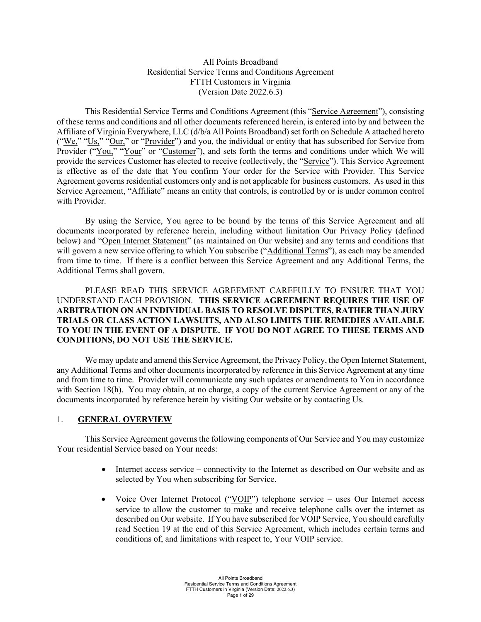## All Points Broadband Residential Service Terms and Conditions Agreement FTTH Customers in Virginia (Version Date 2022.6.3)

This Residential Service Terms and Conditions Agreement (this "Service Agreement"), consisting of these terms and conditions and all other documents referenced herein, is entered into by and between the Affiliate of Virginia Everywhere, LLC (d/b/a All Points Broadband) set forth on Schedule A attached hereto ("We," "Us," "Our," or "Provider") and you, the individual or entity that has subscribed for Service from Provider ("You," "Your" or "Customer"), and sets forth the terms and conditions under which We will provide the services Customer has elected to receive (collectively, the "Service"). This Service Agreement is effective as of the date that You confirm Your order for the Service with Provider. This Service Agreement governs residential customers only and is not applicable for business customers. As used in this Service Agreement, "Affiliate" means an entity that controls, is controlled by or is under common control with Provider.

By using the Service, You agree to be bound by the terms of this Service Agreement and all documents incorporated by reference herein, including without limitation Our Privacy Policy (defined below) and "Open Internet Statement" (as maintained on Our website) and any terms and conditions that will govern a new service offering to which You subscribe ("Additional Terms"), as each may be amended from time to time. If there is a conflict between this Service Agreement and any Additional Terms, the Additional Terms shall govern.

PLEASE READ THIS SERVICE AGREEMENT CAREFULLY TO ENSURE THAT YOU UNDERSTAND EACH PROVISION. **THIS SERVICE AGREEMENT REQUIRES THE USE OF ARBITRATION ON AN INDIVIDUAL BASIS TO RESOLVE DISPUTES, RATHER THAN JURY TRIALS OR CLASS ACTION LAWSUITS, AND ALSO LIMITS THE REMEDIES AVAILABLE TO YOU IN THE EVENT OF A DISPUTE. IF YOU DO NOT AGREE TO THESE TERMS AND CONDITIONS, DO NOT USE THE SERVICE.**

We may update and amend this Service Agreement, the Privacy Policy, the Open Internet Statement, any Additional Terms and other documents incorporated by reference in this Service Agreement at any time and from time to time. Provider will communicate any such updates or amendments to You in accordance with Section 18(h). You may obtain, at no charge, a copy of the current Service Agreement or any of the documents incorporated by reference herein by visiting Our website or by contacting Us.

## 1. **GENERAL OVERVIEW**

This Service Agreement governs the following components of Our Service and You may customize Your residential Service based on Your needs:

- Internet access service connectivity to the Internet as described on Our website and as selected by You when subscribing for Service.
- Voice Over Internet Protocol ("VOIP") telephone service uses Our Internet access service to allow the customer to make and receive telephone calls over the internet as described on Our website. If You have subscribed for VOIP Service, You should carefully read Section 19 at the end of this Service Agreement, which includes certain terms and conditions of, and limitations with respect to, Your VOIP service.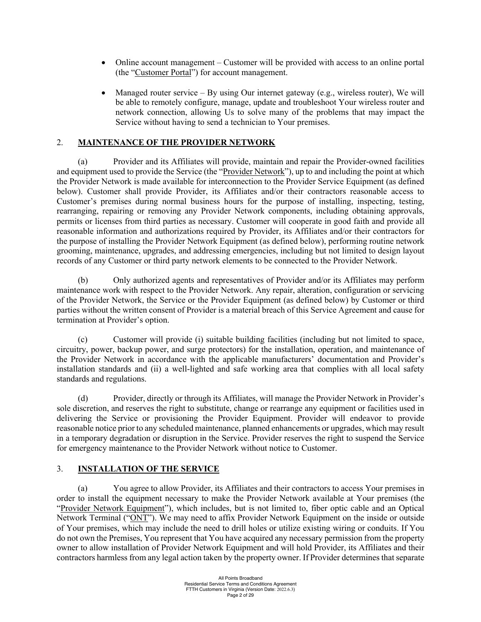- Online account management Customer will be provided with access to an online portal (the "Customer Portal") for account management.
- Managed router service  $-$  By using Our internet gateway (e.g., wireless router), We will be able to remotely configure, manage, update and troubleshoot Your wireless router and network connection, allowing Us to solve many of the problems that may impact the Service without having to send a technician to Your premises.

# 2. **MAINTENANCE OF THE PROVIDER NETWORK**

(a) Provider and its Affiliates will provide, maintain and repair the Provider-owned facilities and equipment used to provide the Service (the "Provider Network"), up to and including the point at which the Provider Network is made available for interconnection to the Provider Service Equipment (as defined below). Customer shall provide Provider, its Affiliates and/or their contractors reasonable access to Customer's premises during normal business hours for the purpose of installing, inspecting, testing, rearranging, repairing or removing any Provider Network components, including obtaining approvals, permits or licenses from third parties as necessary. Customer will cooperate in good faith and provide all reasonable information and authorizations required by Provider, its Affiliates and/or their contractors for the purpose of installing the Provider Network Equipment (as defined below), performing routine network grooming, maintenance, upgrades, and addressing emergencies, including but not limited to design layout records of any Customer or third party network elements to be connected to the Provider Network.

(b) Only authorized agents and representatives of Provider and/or its Affiliates may perform maintenance work with respect to the Provider Network. Any repair, alteration, configuration or servicing of the Provider Network, the Service or the Provider Equipment (as defined below) by Customer or third parties without the written consent of Provider is a material breach of this Service Agreement and cause for termination at Provider's option.

(c) Customer will provide (i) suitable building facilities (including but not limited to space, circuitry, power, backup power, and surge protectors) for the installation, operation, and maintenance of the Provider Network in accordance with the applicable manufacturers' documentation and Provider's installation standards and (ii) a well-lighted and safe working area that complies with all local safety standards and regulations.

(d) Provider, directly or through its Affiliates, will manage the Provider Network in Provider's sole discretion, and reserves the right to substitute, change or rearrange any equipment or facilities used in delivering the Service or provisioning the Provider Equipment. Provider will endeavor to provide reasonable notice prior to any scheduled maintenance, planned enhancements or upgrades, which may result in a temporary degradation or disruption in the Service. Provider reserves the right to suspend the Service for emergency maintenance to the Provider Network without notice to Customer.

# 3. **INSTALLATION OF THE SERVICE**

(a) You agree to allow Provider, its Affiliates and their contractors to access Your premises in order to install the equipment necessary to make the Provider Network available at Your premises (the "Provider Network Equipment"), which includes, but is not limited to, fiber optic cable and an Optical Network Terminal ("ONT"). We may need to affix Provider Network Equipment on the inside or outside of Your premises, which may include the need to drill holes or utilize existing wiring or conduits. If You do not own the Premises, You represent that You have acquired any necessary permission from the property owner to allow installation of Provider Network Equipment and will hold Provider, its Affiliates and their contractors harmless from any legal action taken by the property owner. If Provider determines that separate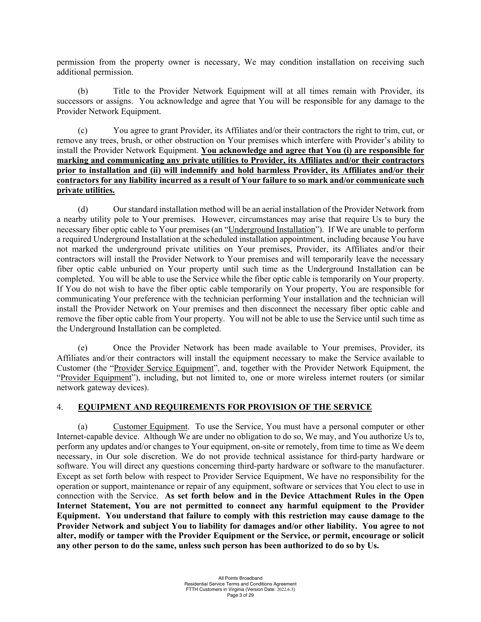permission from the property owner is necessary, We may condition installation on receiving such additional permission.

(b) Title to the Provider Network Equipment will at all times remain with Provider, its successors or assigns. You acknowledge and agree that You will be responsible for any damage to the Provider Network Equipment.

(c) You agree to grant Provider, its Affiliates and/or their contractors the right to trim, cut, or remove any trees, brush, or other obstruction on Your premises which interfere with Provider's ability to install the Provider Network Equipment. **You acknowledge and agree that You (i) are responsible for marking and communicating any private utilities to Provider, its Affiliates and/or their contractors prior to installation and (ii) will indemnify and hold harmless Provider, its Affiliates and/or their contractors for any liability incurred as a result of Your failure to so mark and/or communicate such private utilities.**

(d) Our standard installation method will be an aerial installation of the Provider Network from a nearby utility pole to Your premises. However, circumstances may arise that require Us to bury the necessary fiber optic cable to Your premises (an "Underground Installation"). If We are unable to perform a required Underground Installation at the scheduled installation appointment, including because You have not marked the underground private utilities on Your premises, Provider, its Affiliates and/or their contractors will install the Provider Network to Your premises and will temporarily leave the necessary fiber optic cable unburied on Your property until such time as the Underground Installation can be completed. You will be able to use the Service while the fiber optic cable is temporarily on Your property. If You do not wish to have the fiber optic cable temporarily on Your property, You are responsible for communicating Your preference with the technician performing Your installation and the technician will install the Provider Network on Your premises and then disconnect the necessary fiber optic cable and remove the fiber optic cable from Your property. You will not be able to use the Service until such time as the Underground Installation can be completed.

(e) Once the Provider Network has been made available to Your premises, Provider, its Affiliates and/or their contractors will install the equipment necessary to make the Service available to Customer (the "Provider Service Equipment", and, together with the Provider Network Equipment, the "Provider Equipment"), including, but not limited to, one or more wireless internet routers (or similar network gateway devices).

## 4. **EQUIPMENT AND REQUIREMENTS FOR PROVISION OF THE SERVICE**

(a) Customer Equipment. To use the Service, You must have a personal computer or other Internet-capable device. Although We are under no obligation to do so, We may, and You authorize Us to, perform any updates and/or changes to Your equipment, on-site or remotely, from time to time as We deem necessary, in Our sole discretion. We do not provide technical assistance for third-party hardware or software. You will direct any questions concerning third-party hardware or software to the manufacturer. Except as set forth below with respect to Provider Service Equipment, We have no responsibility for the operation or support, maintenance or repair of any equipment, software or services that You elect to use in connection with the Service. **As set forth below and in the Device Attachment Rules in the Open Internet Statement, You are not permitted to connect any harmful equipment to the Provider Equipment. You understand that failure to comply with this restriction may cause damage to the Provider Network and subject You to liability for damages and/or other liability. You agree to not alter, modify or tamper with the Provider Equipment or the Service, or permit, encourage or solicit any other person to do the same, unless such person has been authorized to do so by Us.**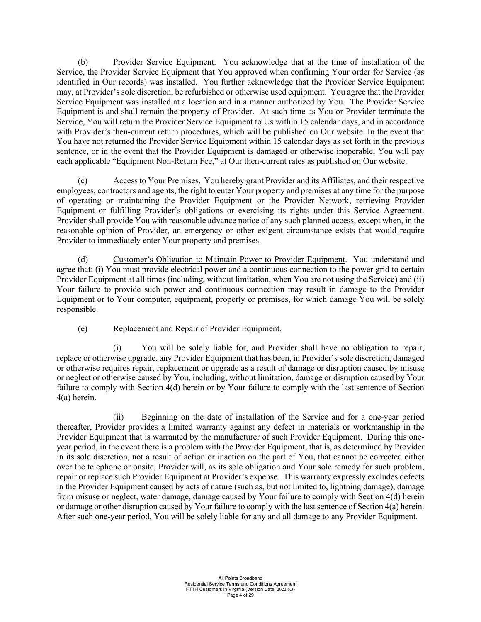(b) Provider Service Equipment. You acknowledge that at the time of installation of the Service, the Provider Service Equipment that You approved when confirming Your order for Service (as identified in Our records) was installed. You further acknowledge that the Provider Service Equipment may, at Provider's sole discretion, be refurbished or otherwise used equipment. You agree that the Provider Service Equipment was installed at a location and in a manner authorized by You. The Provider Service Equipment is and shall remain the property of Provider. At such time as You or Provider terminate the Service, You will return the Provider Service Equipment to Us within 15 calendar days, and in accordance with Provider's then-current return procedures, which will be published on Our website. In the event that You have not returned the Provider Service Equipment within 15 calendar days as set forth in the previous sentence, or in the event that the Provider Equipment is damaged or otherwise inoperable, You will pay each applicable "Equipment Non-Return Fee," at Our then-current rates as published on Our website.

(c) Access to Your Premises. You hereby grant Provider and its Affiliates, and their respective employees, contractors and agents, the right to enter Your property and premises at any time for the purpose of operating or maintaining the Provider Equipment or the Provider Network, retrieving Provider Equipment or fulfilling Provider's obligations or exercising its rights under this Service Agreement. Provider shall provide You with reasonable advance notice of any such planned access, except when, in the reasonable opinion of Provider, an emergency or other exigent circumstance exists that would require Provider to immediately enter Your property and premises.

(d) Customer's Obligation to Maintain Power to Provider Equipment. You understand and agree that: (i) You must provide electrical power and a continuous connection to the power grid to certain Provider Equipment at all times (including, without limitation, when You are not using the Service) and (ii) Your failure to provide such power and continuous connection may result in damage to the Provider Equipment or to Your computer, equipment, property or premises, for which damage You will be solely responsible.

# (e) Replacement and Repair of Provider Equipment.

(i) You will be solely liable for, and Provider shall have no obligation to repair, replace or otherwise upgrade, any Provider Equipment that has been, in Provider's sole discretion, damaged or otherwise requires repair, replacement or upgrade as a result of damage or disruption caused by misuse or neglect or otherwise caused by You, including, without limitation, damage or disruption caused by Your failure to comply with Section 4(d) herein or by Your failure to comply with the last sentence of Section 4(a) herein.

(ii) Beginning on the date of installation of the Service and for a one-year period thereafter, Provider provides a limited warranty against any defect in materials or workmanship in the Provider Equipment that is warranted by the manufacturer of such Provider Equipment. During this oneyear period, in the event there is a problem with the Provider Equipment, that is, as determined by Provider in its sole discretion, not a result of action or inaction on the part of You, that cannot be corrected either over the telephone or onsite, Provider will, as its sole obligation and Your sole remedy for such problem, repair or replace such Provider Equipment at Provider's expense. This warranty expressly excludes defects in the Provider Equipment caused by acts of nature (such as, but not limited to, lightning damage), damage from misuse or neglect, water damage, damage caused by Your failure to comply with Section 4(d) herein or damage or other disruption caused by Your failure to comply with the last sentence of Section 4(a) herein. After such one-year period, You will be solely liable for any and all damage to any Provider Equipment.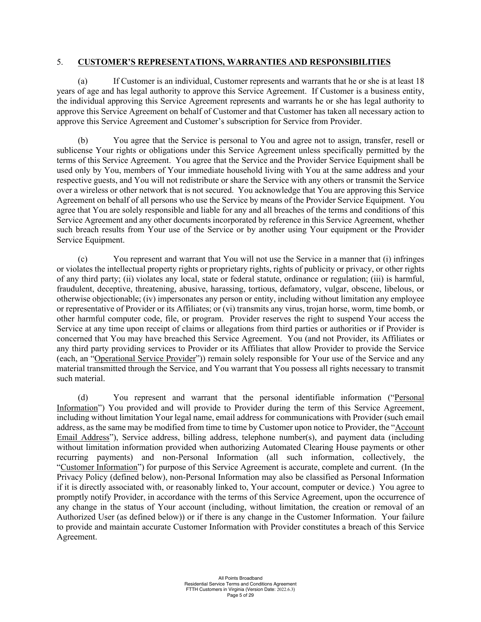#### 5. **CUSTOMER'S REPRESENTATIONS, WARRANTIES AND RESPONSIBILITIES**

(a) If Customer is an individual, Customer represents and warrants that he or she is at least 18 years of age and has legal authority to approve this Service Agreement. If Customer is a business entity, the individual approving this Service Agreement represents and warrants he or she has legal authority to approve this Service Agreement on behalf of Customer and that Customer has taken all necessary action to approve this Service Agreement and Customer's subscription for Service from Provider.

(b) You agree that the Service is personal to You and agree not to assign, transfer, resell or sublicense Your rights or obligations under this Service Agreement unless specifically permitted by the terms of this Service Agreement. You agree that the Service and the Provider Service Equipment shall be used only by You, members of Your immediate household living with You at the same address and your respective guests, and You will not redistribute or share the Service with any others or transmit the Service over a wireless or other network that is not secured. You acknowledge that You are approving this Service Agreement on behalf of all persons who use the Service by means of the Provider Service Equipment. You agree that You are solely responsible and liable for any and all breaches of the terms and conditions of this Service Agreement and any other documents incorporated by reference in this Service Agreement, whether such breach results from Your use of the Service or by another using Your equipment or the Provider Service Equipment.

(c) You represent and warrant that You will not use the Service in a manner that (i) infringes or violates the intellectual property rights or proprietary rights, rights of publicity or privacy, or other rights of any third party; (ii) violates any local, state or federal statute, ordinance or regulation; (iii) is harmful, fraudulent, deceptive, threatening, abusive, harassing, tortious, defamatory, vulgar, obscene, libelous, or otherwise objectionable; (iv) impersonates any person or entity, including without limitation any employee or representative of Provider or its Affiliates; or (vi) transmits any virus, trojan horse, worm, time bomb, or other harmful computer code, file, or program. Provider reserves the right to suspend Your access the Service at any time upon receipt of claims or allegations from third parties or authorities or if Provider is concerned that You may have breached this Service Agreement. You (and not Provider, its Affiliates or any third party providing services to Provider or its Affiliates that allow Provider to provide the Service (each, an "Operational Service Provider")) remain solely responsible for Your use of the Service and any material transmitted through the Service, and You warrant that You possess all rights necessary to transmit such material.

(d) You represent and warrant that the personal identifiable information ("Personal Information") You provided and will provide to Provider during the term of this Service Agreement, including without limitation Your legal name, email address for communications with Provider (such email address, as the same may be modified from time to time by Customer upon notice to Provider, the "Account Email Address"), Service address, billing address, telephone number(s), and payment data (including without limitation information provided when authorizing Automated Clearing House payments or other recurring payments) and non-Personal Information (all such information, collectively, the "Customer Information") for purpose of this Service Agreement is accurate, complete and current. (In the Privacy Policy (defined below), non-Personal Information may also be classified as Personal Information if it is directly associated with, or reasonably linked to, Your account, computer or device.) You agree to promptly notify Provider, in accordance with the terms of this Service Agreement, upon the occurrence of any change in the status of Your account (including, without limitation, the creation or removal of an Authorized User (as defined below)) or if there is any change in the Customer Information. Your failure to provide and maintain accurate Customer Information with Provider constitutes a breach of this Service Agreement.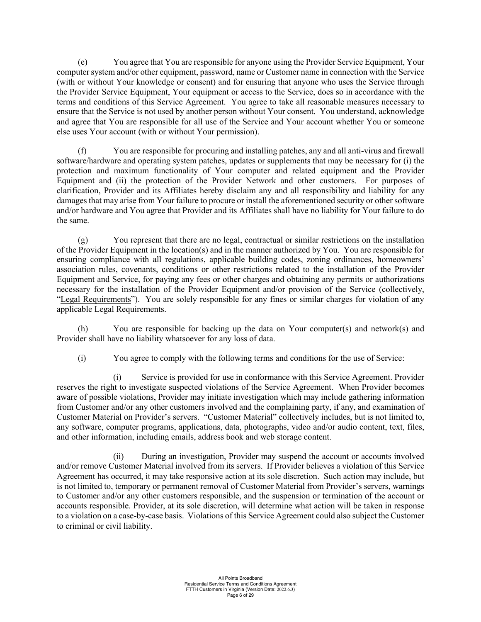(e) You agree that You are responsible for anyone using the Provider Service Equipment, Your computer system and/or other equipment, password, name or Customer name in connection with the Service (with or without Your knowledge or consent) and for ensuring that anyone who uses the Service through the Provider Service Equipment, Your equipment or access to the Service, does so in accordance with the terms and conditions of this Service Agreement. You agree to take all reasonable measures necessary to ensure that the Service is not used by another person without Your consent. You understand, acknowledge and agree that You are responsible for all use of the Service and Your account whether You or someone else uses Your account (with or without Your permission).

(f) You are responsible for procuring and installing patches, any and all anti-virus and firewall software/hardware and operating system patches, updates or supplements that may be necessary for (i) the protection and maximum functionality of Your computer and related equipment and the Provider Equipment and (ii) the protection of the Provider Network and other customers. For purposes of clarification, Provider and its Affiliates hereby disclaim any and all responsibility and liability for any damages that may arise from Your failure to procure or install the aforementioned security or other software and/or hardware and You agree that Provider and its Affiliates shall have no liability for Your failure to do the same.

(g) You represent that there are no legal, contractual or similar restrictions on the installation of the Provider Equipment in the location(s) and in the manner authorized by You. You are responsible for ensuring compliance with all regulations, applicable building codes, zoning ordinances, homeowners' association rules, covenants, conditions or other restrictions related to the installation of the Provider Equipment and Service, for paying any fees or other charges and obtaining any permits or authorizations necessary for the installation of the Provider Equipment and/or provision of the Service (collectively, "Legal Requirements"). You are solely responsible for any fines or similar charges for violation of any applicable Legal Requirements.

(h) You are responsible for backing up the data on Your computer(s) and network(s) and Provider shall have no liability whatsoever for any loss of data.

(i) You agree to comply with the following terms and conditions for the use of Service:

(i) Service is provided for use in conformance with this Service Agreement. Provider reserves the right to investigate suspected violations of the Service Agreement. When Provider becomes aware of possible violations, Provider may initiate investigation which may include gathering information from Customer and/or any other customers involved and the complaining party, if any, and examination of Customer Material on Provider's servers. "Customer Material" collectively includes, but is not limited to, any software, computer programs, applications, data, photographs, video and/or audio content, text, files, and other information, including emails, address book and web storage content.

(ii) During an investigation, Provider may suspend the account or accounts involved and/or remove Customer Material involved from its servers. If Provider believes a violation of this Service Agreement has occurred, it may take responsive action at its sole discretion. Such action may include, but is not limited to, temporary or permanent removal of Customer Material from Provider's servers, warnings to Customer and/or any other customers responsible, and the suspension or termination of the account or accounts responsible. Provider, at its sole discretion, will determine what action will be taken in response to a violation on a case-by-case basis. Violations of this Service Agreement could also subject the Customer to criminal or civil liability.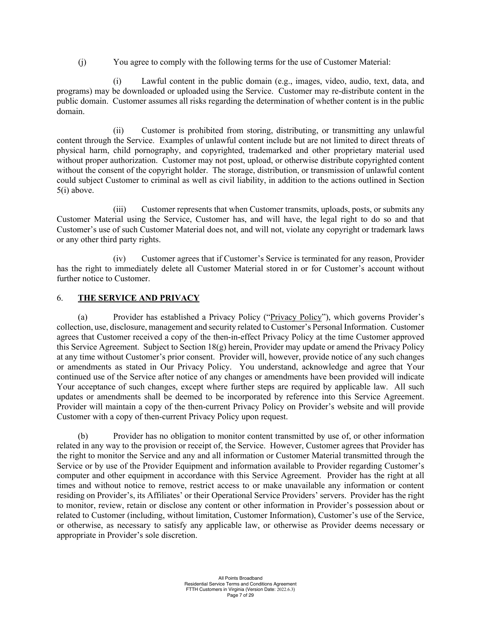(j) You agree to comply with the following terms for the use of Customer Material:

(i) Lawful content in the public domain (e.g., images, video, audio, text, data, and programs) may be downloaded or uploaded using the Service. Customer may re-distribute content in the public domain. Customer assumes all risks regarding the determination of whether content is in the public domain.

(ii) Customer is prohibited from storing, distributing, or transmitting any unlawful content through the Service. Examples of unlawful content include but are not limited to direct threats of physical harm, child pornography, and copyrighted, trademarked and other proprietary material used without proper authorization. Customer may not post, upload, or otherwise distribute copyrighted content without the consent of the copyright holder. The storage, distribution, or transmission of unlawful content could subject Customer to criminal as well as civil liability, in addition to the actions outlined in Section 5(i) above.

(iii) Customer represents that when Customer transmits, uploads, posts, or submits any Customer Material using the Service, Customer has, and will have, the legal right to do so and that Customer's use of such Customer Material does not, and will not, violate any copyright or trademark laws or any other third party rights.

(iv) Customer agrees that if Customer's Service is terminated for any reason, Provider has the right to immediately delete all Customer Material stored in or for Customer's account without further notice to Customer.

# 6. **THE SERVICE AND PRIVACY**

(a) Provider has established a Privacy Policy ("Privacy Policy"), which governs Provider's collection, use, disclosure, management and security related to Customer's Personal Information. Customer agrees that Customer received a copy of the then-in-effect Privacy Policy at the time Customer approved this Service Agreement. Subject to Section 18(g) herein, Provider may update or amend the Privacy Policy at any time without Customer's prior consent. Provider will, however, provide notice of any such changes or amendments as stated in Our Privacy Policy. You understand, acknowledge and agree that Your continued use of the Service after notice of any changes or amendments have been provided will indicate Your acceptance of such changes, except where further steps are required by applicable law. All such updates or amendments shall be deemed to be incorporated by reference into this Service Agreement. Provider will maintain a copy of the then-current Privacy Policy on Provider's website and will provide Customer with a copy of then-current Privacy Policy upon request.

(b) Provider has no obligation to monitor content transmitted by use of, or other information related in any way to the provision or receipt of, the Service. However, Customer agrees that Provider has the right to monitor the Service and any and all information or Customer Material transmitted through the Service or by use of the Provider Equipment and information available to Provider regarding Customer's computer and other equipment in accordance with this Service Agreement. Provider has the right at all times and without notice to remove, restrict access to or make unavailable any information or content residing on Provider's, its Affiliates' or their Operational Service Providers' servers. Provider has the right to monitor, review, retain or disclose any content or other information in Provider's possession about or related to Customer (including, without limitation, Customer Information), Customer's use of the Service, or otherwise, as necessary to satisfy any applicable law, or otherwise as Provider deems necessary or appropriate in Provider's sole discretion.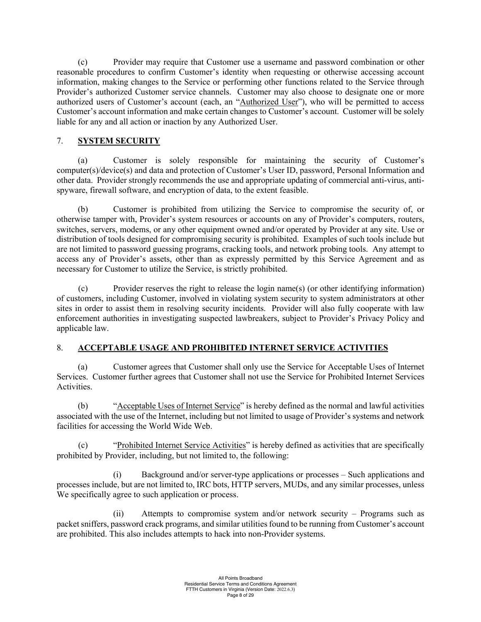(c) Provider may require that Customer use a username and password combination or other reasonable procedures to confirm Customer's identity when requesting or otherwise accessing account information, making changes to the Service or performing other functions related to the Service through Provider's authorized Customer service channels. Customer may also choose to designate one or more authorized users of Customer's account (each, an "Authorized User"), who will be permitted to access Customer's account information and make certain changes to Customer's account. Customer will be solely liable for any and all action or inaction by any Authorized User.

# 7. **SYSTEM SECURITY**

(a) Customer is solely responsible for maintaining the security of Customer's computer(s)/device(s) and data and protection of Customer's User ID, password, Personal Information and other data. Provider strongly recommends the use and appropriate updating of commercial anti-virus, antispyware, firewall software, and encryption of data, to the extent feasible.

(b) Customer is prohibited from utilizing the Service to compromise the security of, or otherwise tamper with, Provider's system resources or accounts on any of Provider's computers, routers, switches, servers, modems, or any other equipment owned and/or operated by Provider at any site. Use or distribution of tools designed for compromising security is prohibited. Examples of such tools include but are not limited to password guessing programs, cracking tools, and network probing tools. Any attempt to access any of Provider's assets, other than as expressly permitted by this Service Agreement and as necessary for Customer to utilize the Service, is strictly prohibited.

(c) Provider reserves the right to release the login name(s) (or other identifying information) of customers, including Customer, involved in violating system security to system administrators at other sites in order to assist them in resolving security incidents. Provider will also fully cooperate with law enforcement authorities in investigating suspected lawbreakers, subject to Provider's Privacy Policy and applicable law.

# 8. **ACCEPTABLE USAGE AND PROHIBITED INTERNET SERVICE ACTIVITIES**

(a) Customer agrees that Customer shall only use the Service for Acceptable Uses of Internet Services. Customer further agrees that Customer shall not use the Service for Prohibited Internet Services Activities.

(b) "Acceptable Uses of Internet Service" is hereby defined as the normal and lawful activities associated with the use of the Internet, including but not limited to usage of Provider's systems and network facilities for accessing the World Wide Web.

"Prohibited Internet Service Activities" is hereby defined as activities that are specifically prohibited by Provider, including, but not limited to, the following:

(i) Background and/or server-type applications or processes – Such applications and processes include, but are not limited to, IRC bots, HTTP servers, MUDs, and any similar processes, unless We specifically agree to such application or process.

(ii) Attempts to compromise system and/or network security – Programs such as packet sniffers, password crack programs, and similar utilities found to be running from Customer's account are prohibited. This also includes attempts to hack into non-Provider systems.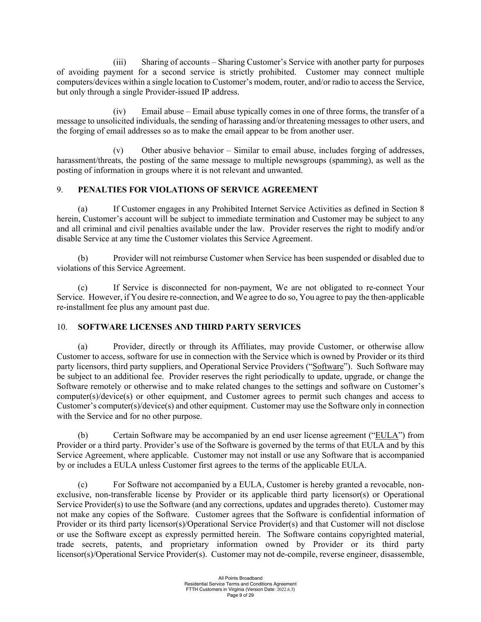(iii) Sharing of accounts – Sharing Customer's Service with another party for purposes of avoiding payment for a second service is strictly prohibited. Customer may connect multiple computers/devices within a single location to Customer's modem, router, and/or radio to access the Service, but only through a single Provider-issued IP address.

(iv) Email abuse – Email abuse typically comes in one of three forms, the transfer of a message to unsolicited individuals, the sending of harassing and/or threatening messages to other users, and the forging of email addresses so as to make the email appear to be from another user.

(v) Other abusive behavior – Similar to email abuse, includes forging of addresses, harassment/threats, the posting of the same message to multiple newsgroups (spamming), as well as the posting of information in groups where it is not relevant and unwanted.

## 9. **PENALTIES FOR VIOLATIONS OF SERVICE AGREEMENT**

(a) If Customer engages in any Prohibited Internet Service Activities as defined in Section 8 herein, Customer's account will be subject to immediate termination and Customer may be subject to any and all criminal and civil penalties available under the law. Provider reserves the right to modify and/or disable Service at any time the Customer violates this Service Agreement.

(b) Provider will not reimburse Customer when Service has been suspended or disabled due to violations of this Service Agreement.

(c) If Service is disconnected for non-payment, We are not obligated to re-connect Your Service. However, if You desire re-connection, and We agree to do so, You agree to pay the then-applicable re-installment fee plus any amount past due.

# 10. **SOFTWARE LICENSES AND THIRD PARTY SERVICES**

(a) Provider, directly or through its Affiliates, may provide Customer, or otherwise allow Customer to access, software for use in connection with the Service which is owned by Provider or its third party licensors, third party suppliers, and Operational Service Providers ("Software"). Such Software may be subject to an additional fee. Provider reserves the right periodically to update, upgrade, or change the Software remotely or otherwise and to make related changes to the settings and software on Customer's computer(s)/device(s) or other equipment, and Customer agrees to permit such changes and access to Customer's computer(s)/device(s) and other equipment. Customer may use the Software only in connection with the Service and for no other purpose.

(b) Certain Software may be accompanied by an end user license agreement ("EULA") from Provider or a third party. Provider's use of the Software is governed by the terms of that EULA and by this Service Agreement, where applicable. Customer may not install or use any Software that is accompanied by or includes a EULA unless Customer first agrees to the terms of the applicable EULA.

(c) For Software not accompanied by a EULA, Customer is hereby granted a revocable, nonexclusive, non-transferable license by Provider or its applicable third party licensor(s) or Operational Service Provider(s) to use the Software (and any corrections, updates and upgrades thereto). Customer may not make any copies of the Software. Customer agrees that the Software is confidential information of Provider or its third party licensor(s)/Operational Service Provider(s) and that Customer will not disclose or use the Software except as expressly permitted herein. The Software contains copyrighted material, trade secrets, patents, and proprietary information owned by Provider or its third party licensor(s)/Operational Service Provider(s). Customer may not de-compile, reverse engineer, disassemble,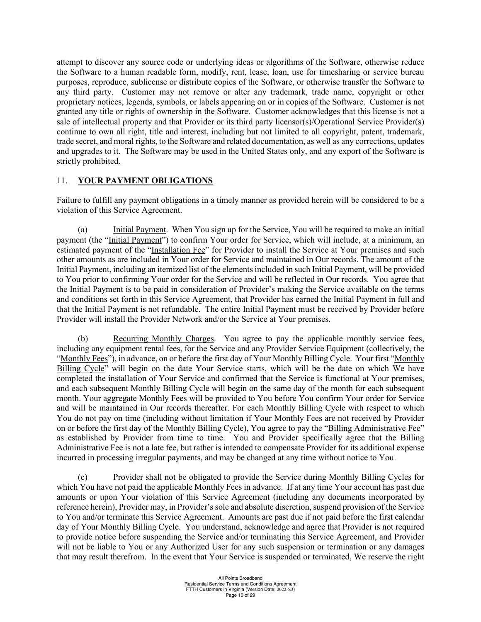attempt to discover any source code or underlying ideas or algorithms of the Software, otherwise reduce the Software to a human readable form, modify, rent, lease, loan, use for timesharing or service bureau purposes, reproduce, sublicense or distribute copies of the Software, or otherwise transfer the Software to any third party. Customer may not remove or alter any trademark, trade name, copyright or other proprietary notices, legends, symbols, or labels appearing on or in copies of the Software. Customer is not granted any title or rights of ownership in the Software. Customer acknowledges that this license is not a sale of intellectual property and that Provider or its third party licensor(s)/Operational Service Provider(s) continue to own all right, title and interest, including but not limited to all copyright, patent, trademark, trade secret, and moral rights, to the Software and related documentation, as well as any corrections, updates and upgrades to it. The Software may be used in the United States only, and any export of the Software is strictly prohibited.

## 11. **YOUR PAYMENT OBLIGATIONS**

Failure to fulfill any payment obligations in a timely manner as provided herein will be considered to be a violation of this Service Agreement.

Initial Payment. When You sign up for the Service, You will be required to make an initial payment (the "Initial Payment") to confirm Your order for Service, which will include, at a minimum, an estimated payment of the "Installation Fee" for Provider to install the Service at Your premises and such other amounts as are included in Your order for Service and maintained in Our records. The amount of the Initial Payment, including an itemized list of the elements included in such Initial Payment, will be provided to You prior to confirming Your order for the Service and will be reflected in Our records. You agree that the Initial Payment is to be paid in consideration of Provider's making the Service available on the terms and conditions set forth in this Service Agreement, that Provider has earned the Initial Payment in full and that the Initial Payment is not refundable. The entire Initial Payment must be received by Provider before Provider will install the Provider Network and/or the Service at Your premises.

(b) Recurring Monthly Charges. You agree to pay the applicable monthly service fees, including any equipment rental fees, for the Service and any Provider Service Equipment (collectively, the "Monthly Fees"), in advance, on or before the first day of Your Monthly Billing Cycle. Your first "Monthly Billing Cycle" will begin on the date Your Service starts, which will be the date on which We have completed the installation of Your Service and confirmed that the Service is functional at Your premises, and each subsequent Monthly Billing Cycle will begin on the same day of the month for each subsequent month. Your aggregate Monthly Fees will be provided to You before You confirm Your order for Service and will be maintained in Our records thereafter. For each Monthly Billing Cycle with respect to which You do not pay on time (including without limitation if Your Monthly Fees are not received by Provider on or before the first day of the Monthly Billing Cycle), You agree to pay the "Billing Administrative Fee" as established by Provider from time to time. You and Provider specifically agree that the Billing Administrative Fee is not a late fee, but rather is intended to compensate Provider for its additional expense incurred in processing irregular payments, and may be changed at any time without notice to You.

(c) Provider shall not be obligated to provide the Service during Monthly Billing Cycles for which You have not paid the applicable Monthly Fees in advance. If at any time Your account has past due amounts or upon Your violation of this Service Agreement (including any documents incorporated by reference herein), Provider may, in Provider's sole and absolute discretion, suspend provision of the Service to You and/or terminate this Service Agreement. Amounts are past due if not paid before the first calendar day of Your Monthly Billing Cycle. You understand, acknowledge and agree that Provider is not required to provide notice before suspending the Service and/or terminating this Service Agreement, and Provider will not be liable to You or any Authorized User for any such suspension or termination or any damages that may result therefrom. In the event that Your Service is suspended or terminated, We reserve the right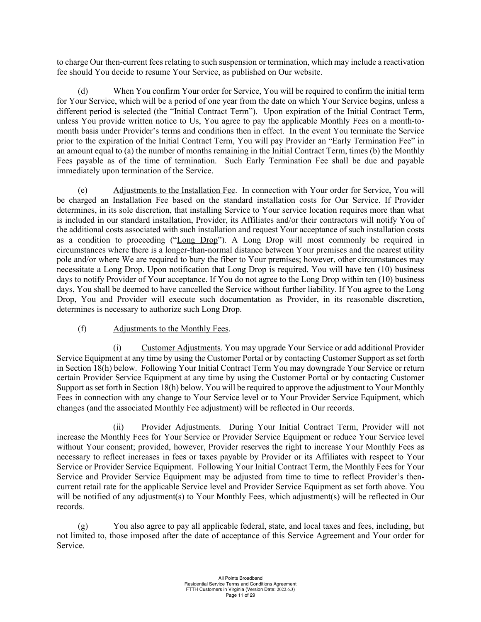to charge Our then-current fees relating to such suspension or termination, which may include a reactivation fee should You decide to resume Your Service, as published on Our website.

(d) When You confirm Your order for Service, You will be required to confirm the initial term for Your Service, which will be a period of one year from the date on which Your Service begins, unless a different period is selected (the "Initial Contract Term"). Upon expiration of the Initial Contract Term, unless You provide written notice to Us, You agree to pay the applicable Monthly Fees on a month-tomonth basis under Provider's terms and conditions then in effect. In the event You terminate the Service prior to the expiration of the Initial Contract Term, You will pay Provider an "Early Termination Fee" in an amount equal to (a) the number of months remaining in the Initial Contract Term, times (b) the Monthly Fees payable as of the time of termination. Such Early Termination Fee shall be due and payable immediately upon termination of the Service.

(e) Adjustments to the Installation Fee. In connection with Your order for Service, You will be charged an Installation Fee based on the standard installation costs for Our Service. If Provider determines, in its sole discretion, that installing Service to Your service location requires more than what is included in our standard installation, Provider, its Affiliates and/or their contractors will notify You of the additional costs associated with such installation and request Your acceptance of such installation costs as a condition to proceeding ("Long Drop"). A Long Drop will most commonly be required in circumstances where there is a longer-than-normal distance between Your premises and the nearest utility pole and/or where We are required to bury the fiber to Your premises; however, other circumstances may necessitate a Long Drop. Upon notification that Long Drop is required, You will have ten (10) business days to notify Provider of Your acceptance. If You do not agree to the Long Drop within ten (10) business days, You shall be deemed to have cancelled the Service without further liability. If You agree to the Long Drop, You and Provider will execute such documentation as Provider, in its reasonable discretion, determines is necessary to authorize such Long Drop.

## (f) Adjustments to the Monthly Fees.

(i) Customer Adjustments. You may upgrade Your Service or add additional Provider Service Equipment at any time by using the Customer Portal or by contacting Customer Support as set forth in Section 18(h) below. Following Your Initial Contract Term You may downgrade Your Service or return certain Provider Service Equipment at any time by using the Customer Portal or by contacting Customer Support as set forth in Section 18(h) below. You will be required to approve the adjustment to Your Monthly Fees in connection with any change to Your Service level or to Your Provider Service Equipment, which changes (and the associated Monthly Fee adjustment) will be reflected in Our records.

(ii) Provider Adjustments. During Your Initial Contract Term, Provider will not increase the Monthly Fees for Your Service or Provider Service Equipment or reduce Your Service level without Your consent; provided, however, Provider reserves the right to increase Your Monthly Fees as necessary to reflect increases in fees or taxes payable by Provider or its Affiliates with respect to Your Service or Provider Service Equipment. Following Your Initial Contract Term, the Monthly Fees for Your Service and Provider Service Equipment may be adjusted from time to time to reflect Provider's thencurrent retail rate for the applicable Service level and Provider Service Equipment as set forth above. You will be notified of any adjustment(s) to Your Monthly Fees, which adjustment(s) will be reflected in Our records.

(g) You also agree to pay all applicable federal, state, and local taxes and fees, including, but not limited to, those imposed after the date of acceptance of this Service Agreement and Your order for Service.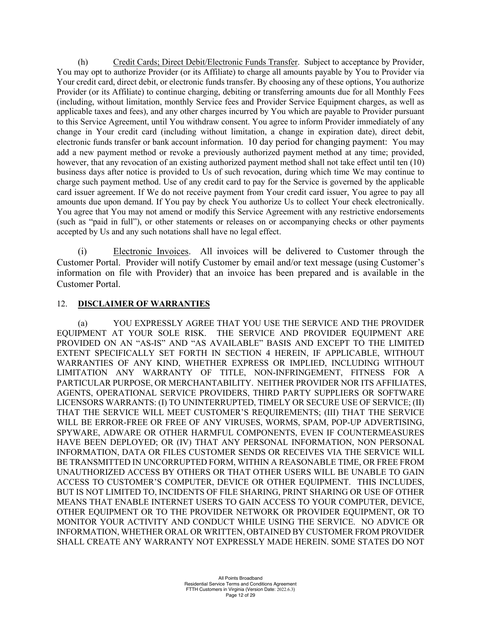(h) Credit Cards; Direct Debit/Electronic Funds Transfer. Subject to acceptance by Provider, You may opt to authorize Provider (or its Affiliate) to charge all amounts payable by You to Provider via Your credit card, direct debit, or electronic funds transfer. By choosing any of these options, You authorize Provider (or its Affiliate) to continue charging, debiting or transferring amounts due for all Monthly Fees (including, without limitation, monthly Service fees and Provider Service Equipment charges, as well as applicable taxes and fees), and any other charges incurred by You which are payable to Provider pursuant to this Service Agreement, until You withdraw consent. You agree to inform Provider immediately of any change in Your credit card (including without limitation, a change in expiration date), direct debit, electronic funds transfer or bank account information. 10 day period for changing payment: You may add a new payment method or revoke a previously authorized payment method at any time; provided, however, that any revocation of an existing authorized payment method shall not take effect until ten (10) business days after notice is provided to Us of such revocation, during which time We may continue to charge such payment method. Use of any credit card to pay for the Service is governed by the applicable card issuer agreement. If We do not receive payment from Your credit card issuer, You agree to pay all amounts due upon demand. If You pay by check You authorize Us to collect Your check electronically. You agree that You may not amend or modify this Service Agreement with any restrictive endorsements (such as "paid in full"), or other statements or releases on or accompanying checks or other payments accepted by Us and any such notations shall have no legal effect.

(i) Electronic Invoices. All invoices will be delivered to Customer through the Customer Portal. Provider will notify Customer by email and/or text message (using Customer's information on file with Provider) that an invoice has been prepared and is available in the Customer Portal.

# 12. **DISCLAIMER OF WARRANTIES**

(a) YOU EXPRESSLY AGREE THAT YOU USE THE SERVICE AND THE PROVIDER EQUIPMENT AT YOUR SOLE RISK. THE SERVICE AND PROVIDER EQUIPMENT ARE PROVIDED ON AN "AS-IS" AND "AS AVAILABLE" BASIS AND EXCEPT TO THE LIMITED EXTENT SPECIFICALLY SET FORTH IN SECTION 4 HEREIN, IF APPLICABLE, WITHOUT WARRANTIES OF ANY KIND, WHETHER EXPRESS OR IMPLIED, INCLUDING WITHOUT LIMITATION ANY WARRANTY OF TITLE, NON-INFRINGEMENT, FITNESS FOR A PARTICULAR PURPOSE, OR MERCHANTABILITY. NEITHER PROVIDER NOR ITS AFFILIATES, AGENTS, OPERATIONAL SERVICE PROVIDERS, THIRD PARTY SUPPLIERS OR SOFTWARE LICENSORS WARRANTS: (I) TO UNINTERRUPTED, TIMELY OR SECURE USE OF SERVICE; (II) THAT THE SERVICE WILL MEET CUSTOMER'S REQUIREMENTS; (III) THAT THE SERVICE WILL BE ERROR-FREE OR FREE OF ANY VIRUSES, WORMS, SPAM, POP-UP ADVERTISING, SPYWARE, ADWARE OR OTHER HARMFUL COMPONENTS, EVEN IF COUNTERMEASURES HAVE BEEN DEPLOYED; OR (IV) THAT ANY PERSONAL INFORMATION, NON PERSONAL INFORMATION, DATA OR FILES CUSTOMER SENDS OR RECEIVES VIA THE SERVICE WILL BE TRANSMITTED IN UNCORRUPTED FORM, WITHIN A REASONABLE TIME, OR FREE FROM UNAUTHORIZED ACCESS BY OTHERS OR THAT OTHER USERS WILL BE UNABLE TO GAIN ACCESS TO CUSTOMER'S COMPUTER, DEVICE OR OTHER EQUIPMENT. THIS INCLUDES, BUT IS NOT LIMITED TO, INCIDENTS OF FILE SHARING, PRINT SHARING OR USE OF OTHER MEANS THAT ENABLE INTERNET USERS TO GAIN ACCESS TO YOUR COMPUTER, DEVICE, OTHER EQUIPMENT OR TO THE PROVIDER NETWORK OR PROVIDER EQUIPMENT, OR TO MONITOR YOUR ACTIVITY AND CONDUCT WHILE USING THE SERVICE. NO ADVICE OR INFORMATION, WHETHER ORAL OR WRITTEN, OBTAINED BY CUSTOMER FROM PROVIDER SHALL CREATE ANY WARRANTY NOT EXPRESSLY MADE HEREIN. SOME STATES DO NOT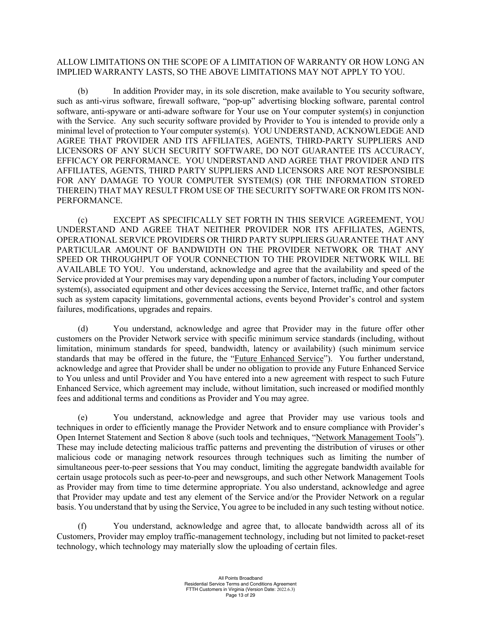#### ALLOW LIMITATIONS ON THE SCOPE OF A LIMITATION OF WARRANTY OR HOW LONG AN IMPLIED WARRANTY LASTS, SO THE ABOVE LIMITATIONS MAY NOT APPLY TO YOU.

(b) In addition Provider may, in its sole discretion, make available to You security software, such as anti-virus software, firewall software, "pop-up" advertising blocking software, parental control software, anti-spyware or anti-adware software for Your use on Your computer system(s) in conjunction with the Service. Any such security software provided by Provider to You is intended to provide only a minimal level of protection to Your computer system(s). YOU UNDERSTAND, ACKNOWLEDGE AND AGREE THAT PROVIDER AND ITS AFFILIATES, AGENTS, THIRD-PARTY SUPPLIERS AND LICENSORS OF ANY SUCH SECURITY SOFTWARE, DO NOT GUARANTEE ITS ACCURACY, EFFICACY OR PERFORMANCE. YOU UNDERSTAND AND AGREE THAT PROVIDER AND ITS AFFILIATES, AGENTS, THIRD PARTY SUPPLIERS AND LICENSORS ARE NOT RESPONSIBLE FOR ANY DAMAGE TO YOUR COMPUTER SYSTEM(S) (OR THE INFORMATION STORED THEREIN) THAT MAY RESULT FROM USE OF THE SECURITY SOFTWARE OR FROM ITS NON-PERFORMANCE.

(c) EXCEPT AS SPECIFICALLY SET FORTH IN THIS SERVICE AGREEMENT, YOU UNDERSTAND AND AGREE THAT NEITHER PROVIDER NOR ITS AFFILIATES, AGENTS, OPERATIONAL SERVICE PROVIDERS OR THIRD PARTY SUPPLIERS GUARANTEE THAT ANY PARTICULAR AMOUNT OF BANDWIDTH ON THE PROVIDER NETWORK OR THAT ANY SPEED OR THROUGHPUT OF YOUR CONNECTION TO THE PROVIDER NETWORK WILL BE AVAILABLE TO YOU. You understand, acknowledge and agree that the availability and speed of the Service provided at Your premises may vary depending upon a number of factors, including Your computer system(s), associated equipment and other devices accessing the Service, Internet traffic, and other factors such as system capacity limitations, governmental actions, events beyond Provider's control and system failures, modifications, upgrades and repairs.

(d) You understand, acknowledge and agree that Provider may in the future offer other customers on the Provider Network service with specific minimum service standards (including, without limitation, minimum standards for speed, bandwidth, latency or availability) (such minimum service standards that may be offered in the future, the "Future Enhanced Service"). You further understand, acknowledge and agree that Provider shall be under no obligation to provide any Future Enhanced Service to You unless and until Provider and You have entered into a new agreement with respect to such Future Enhanced Service, which agreement may include, without limitation, such increased or modified monthly fees and additional terms and conditions as Provider and You may agree.

(e) You understand, acknowledge and agree that Provider may use various tools and techniques in order to efficiently manage the Provider Network and to ensure compliance with Provider's Open Internet Statement and Section 8 above (such tools and techniques, "Network Management Tools"). These may include detecting malicious traffic patterns and preventing the distribution of viruses or other malicious code or managing network resources through techniques such as limiting the number of simultaneous peer-to-peer sessions that You may conduct, limiting the aggregate bandwidth available for certain usage protocols such as peer-to-peer and newsgroups, and such other Network Management Tools as Provider may from time to time determine appropriate. You also understand, acknowledge and agree that Provider may update and test any element of the Service and/or the Provider Network on a regular basis. You understand that by using the Service, You agree to be included in any such testing without notice.

You understand, acknowledge and agree that, to allocate bandwidth across all of its Customers, Provider may employ traffic-management technology, including but not limited to packet-reset technology, which technology may materially slow the uploading of certain files.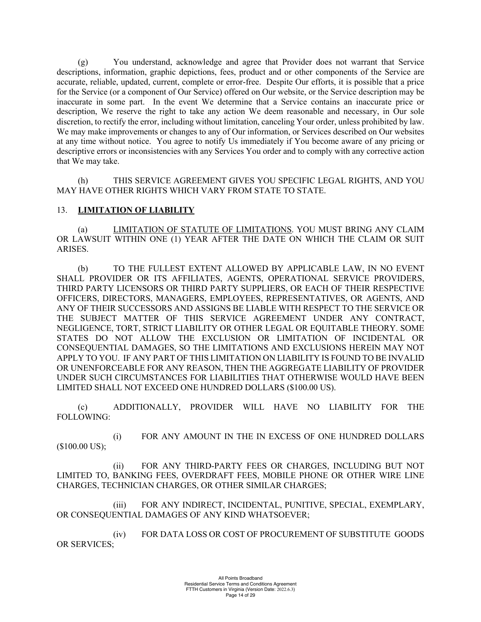(g) You understand, acknowledge and agree that Provider does not warrant that Service descriptions, information, graphic depictions, fees, product and or other components of the Service are accurate, reliable, updated, current, complete or error-free. Despite Our efforts, it is possible that a price for the Service (or a component of Our Service) offered on Our website, or the Service description may be inaccurate in some part. In the event We determine that a Service contains an inaccurate price or description, We reserve the right to take any action We deem reasonable and necessary, in Our sole discretion, to rectify the error, including without limitation, canceling Your order, unless prohibited by law. We may make improvements or changes to any of Our information, or Services described on Our websites at any time without notice. You agree to notify Us immediately if You become aware of any pricing or descriptive errors or inconsistencies with any Services You order and to comply with any corrective action that We may take.

(h) THIS SERVICE AGREEMENT GIVES YOU SPECIFIC LEGAL RIGHTS, AND YOU MAY HAVE OTHER RIGHTS WHICH VARY FROM STATE TO STATE.

## 13. **LIMITATION OF LIABILITY**

(a) LIMITATION OF STATUTE OF LIMITATIONS. YOU MUST BRING ANY CLAIM OR LAWSUIT WITHIN ONE (1) YEAR AFTER THE DATE ON WHICH THE CLAIM OR SUIT ARISES.

(b) TO THE FULLEST EXTENT ALLOWED BY APPLICABLE LAW, IN NO EVENT SHALL PROVIDER OR ITS AFFILIATES, AGENTS, OPERATIONAL SERVICE PROVIDERS, THIRD PARTY LICENSORS OR THIRD PARTY SUPPLIERS, OR EACH OF THEIR RESPECTIVE OFFICERS, DIRECTORS, MANAGERS, EMPLOYEES, REPRESENTATIVES, OR AGENTS, AND ANY OF THEIR SUCCESSORS AND ASSIGNS BE LIABLE WITH RESPECT TO THE SERVICE OR THE SUBJECT MATTER OF THIS SERVICE AGREEMENT UNDER ANY CONTRACT, NEGLIGENCE, TORT, STRICT LIABILITY OR OTHER LEGAL OR EQUITABLE THEORY. SOME STATES DO NOT ALLOW THE EXCLUSION OR LIMITATION OF INCIDENTAL OR CONSEQUENTIAL DAMAGES, SO THE LIMITATIONS AND EXCLUSIONS HEREIN MAY NOT APPLY TO YOU. IF ANY PART OF THIS LIMITATION ON LIABILITY IS FOUND TO BE INVALID OR UNENFORCEABLE FOR ANY REASON, THEN THE AGGREGATE LIABILITY OF PROVIDER UNDER SUCH CIRCUMSTANCES FOR LIABILITIES THAT OTHERWISE WOULD HAVE BEEN LIMITED SHALL NOT EXCEED ONE HUNDRED DOLLARS (\$100.00 US).

(c) ADDITIONALLY, PROVIDER WILL HAVE NO LIABILITY FOR THE FOLLOWING:

(i) FOR ANY AMOUNT IN THE IN EXCESS OF ONE HUNDRED DOLLARS (\$100.00 US);

(ii) FOR ANY THIRD-PARTY FEES OR CHARGES, INCLUDING BUT NOT LIMITED TO, BANKING FEES, OVERDRAFT FEES, MOBILE PHONE OR OTHER WIRE LINE CHARGES, TECHNICIAN CHARGES, OR OTHER SIMILAR CHARGES;

(iii) FOR ANY INDIRECT, INCIDENTAL, PUNITIVE, SPECIAL, EXEMPLARY, OR CONSEQUENTIAL DAMAGES OF ANY KIND WHATSOEVER;

(iv) FOR DATA LOSS OR COST OF PROCUREMENT OF SUBSTITUTE GOODS OR SERVICES;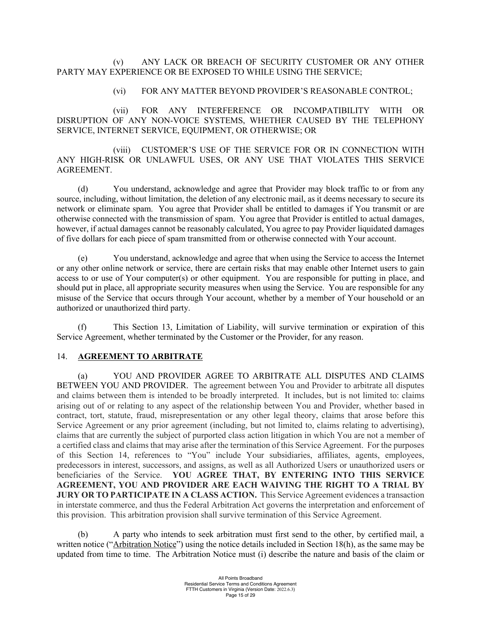## (v) ANY LACK OR BREACH OF SECURITY CUSTOMER OR ANY OTHER PARTY MAY EXPERIENCE OR BE EXPOSED TO WHILE USING THE SERVICE;

## (vi) FOR ANY MATTER BEYOND PROVIDER'S REASONABLE CONTROL;

(vii) FOR ANY INTERFERENCE OR INCOMPATIBILITY WITH OR DISRUPTION OF ANY NON-VOICE SYSTEMS, WHETHER CAUSED BY THE TELEPHONY SERVICE, INTERNET SERVICE, EQUIPMENT, OR OTHERWISE; OR

(viii) CUSTOMER'S USE OF THE SERVICE FOR OR IN CONNECTION WITH ANY HIGH-RISK OR UNLAWFUL USES, OR ANY USE THAT VIOLATES THIS SERVICE AGREEMENT.

(d) You understand, acknowledge and agree that Provider may block traffic to or from any source, including, without limitation, the deletion of any electronic mail, as it deems necessary to secure its network or eliminate spam. You agree that Provider shall be entitled to damages if You transmit or are otherwise connected with the transmission of spam. You agree that Provider is entitled to actual damages, however, if actual damages cannot be reasonably calculated, You agree to pay Provider liquidated damages of five dollars for each piece of spam transmitted from or otherwise connected with Your account.

(e) You understand, acknowledge and agree that when using the Service to access the Internet or any other online network or service, there are certain risks that may enable other Internet users to gain access to or use of Your computer(s) or other equipment. You are responsible for putting in place, and should put in place, all appropriate security measures when using the Service. You are responsible for any misuse of the Service that occurs through Your account, whether by a member of Your household or an authorized or unauthorized third party.

(f) This Section 13, Limitation of Liability, will survive termination or expiration of this Service Agreement, whether terminated by the Customer or the Provider, for any reason.

# 14. **AGREEMENT TO ARBITRATE**

(a) YOU AND PROVIDER AGREE TO ARBITRATE ALL DISPUTES AND CLAIMS BETWEEN YOU AND PROVIDER. The agreement between You and Provider to arbitrate all disputes and claims between them is intended to be broadly interpreted. It includes, but is not limited to: claims arising out of or relating to any aspect of the relationship between You and Provider, whether based in contract, tort, statute, fraud, misrepresentation or any other legal theory, claims that arose before this Service Agreement or any prior agreement (including, but not limited to, claims relating to advertising), claims that are currently the subject of purported class action litigation in which You are not a member of a certified class and claims that may arise after the termination of this Service Agreement. For the purposes of this Section 14, references to "You" include Your subsidiaries, affiliates, agents, employees, predecessors in interest, successors, and assigns, as well as all Authorized Users or unauthorized users or beneficiaries of the Service. **YOU AGREE THAT, BY ENTERING INTO THIS SERVICE AGREEMENT, YOU AND PROVIDER ARE EACH WAIVING THE RIGHT TO A TRIAL BY JURY OR TO PARTICIPATE IN A CLASS ACTION.** This Service Agreement evidences a transaction in interstate commerce, and thus the Federal Arbitration Act governs the interpretation and enforcement of this provision. This arbitration provision shall survive termination of this Service Agreement.

(b) A party who intends to seek arbitration must first send to the other, by certified mail, a written notice ("Arbitration Notice") using the notice details included in Section 18(h), as the same may be updated from time to time. The Arbitration Notice must (i) describe the nature and basis of the claim or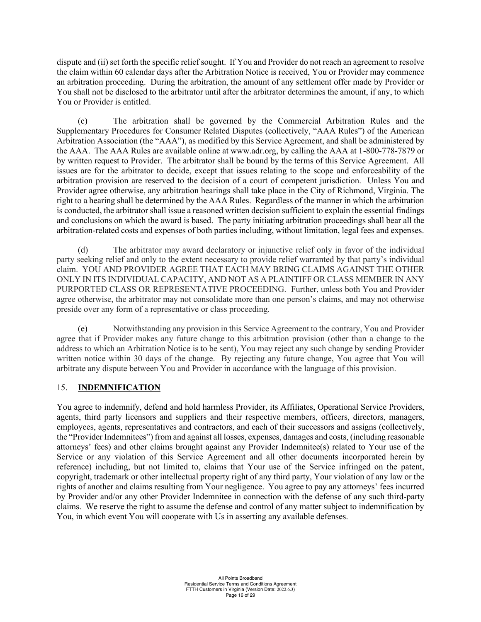dispute and (ii) set forth the specific relief sought. If You and Provider do not reach an agreement to resolve the claim within 60 calendar days after the Arbitration Notice is received, You or Provider may commence an arbitration proceeding. During the arbitration, the amount of any settlement offer made by Provider or You shall not be disclosed to the arbitrator until after the arbitrator determines the amount, if any, to which You or Provider is entitled.

(c) The arbitration shall be governed by the Commercial Arbitration Rules and the Supplementary Procedures for Consumer Related Disputes (collectively, "AAA Rules") of the American Arbitration Association (the "AAA"), as modified by this Service Agreement, and shall be administered by the AAA. The AAA Rules are available online at www.adr.org, by calling the AAA at 1-800-778-7879 or by written request to Provider. The arbitrator shall be bound by the terms of this Service Agreement. All issues are for the arbitrator to decide, except that issues relating to the scope and enforceability of the arbitration provision are reserved to the decision of a court of competent jurisdiction. Unless You and Provider agree otherwise, any arbitration hearings shall take place in the City of Richmond, Virginia. The right to a hearing shall be determined by the AAA Rules. Regardless of the manner in which the arbitration is conducted, the arbitrator shall issue a reasoned written decision sufficient to explain the essential findings and conclusions on which the award is based. The party initiating arbitration proceedings shall bear all the arbitration-related costs and expenses of both parties including, without limitation, legal fees and expenses.

(d) The arbitrator may award declaratory or injunctive relief only in favor of the individual party seeking relief and only to the extent necessary to provide relief warranted by that party's individual claim. YOU AND PROVIDER AGREE THAT EACH MAY BRING CLAIMS AGAINST THE OTHER ONLY IN ITS INDIVIDUAL CAPACITY, AND NOT AS A PLAINTIFF OR CLASS MEMBER IN ANY PURPORTED CLASS OR REPRESENTATIVE PROCEEDING. Further, unless both You and Provider agree otherwise, the arbitrator may not consolidate more than one person's claims, and may not otherwise preside over any form of a representative or class proceeding.

(e) Notwithstanding any provision in this Service Agreement to the contrary, You and Provider agree that if Provider makes any future change to this arbitration provision (other than a change to the address to which an Arbitration Notice is to be sent), You may reject any such change by sending Provider written notice within 30 days of the change. By rejecting any future change, You agree that You will arbitrate any dispute between You and Provider in accordance with the language of this provision.

## 15. **INDEMNIFICATION**

You agree to indemnify, defend and hold harmless Provider, its Affiliates, Operational Service Providers, agents, third party licensors and suppliers and their respective members, officers, directors, managers, employees, agents, representatives and contractors, and each of their successors and assigns (collectively, the "Provider Indemnitees") from and against all losses, expenses, damages and costs, (including reasonable attorneys' fees) and other claims brought against any Provider Indemnitee(s) related to Your use of the Service or any violation of this Service Agreement and all other documents incorporated herein by reference) including, but not limited to, claims that Your use of the Service infringed on the patent, copyright, trademark or other intellectual property right of any third party, Your violation of any law or the rights of another and claims resulting from Your negligence. You agree to pay any attorneys' fees incurred by Provider and/or any other Provider Indemnitee in connection with the defense of any such third-party claims. We reserve the right to assume the defense and control of any matter subject to indemnification by You, in which event You will cooperate with Us in asserting any available defenses.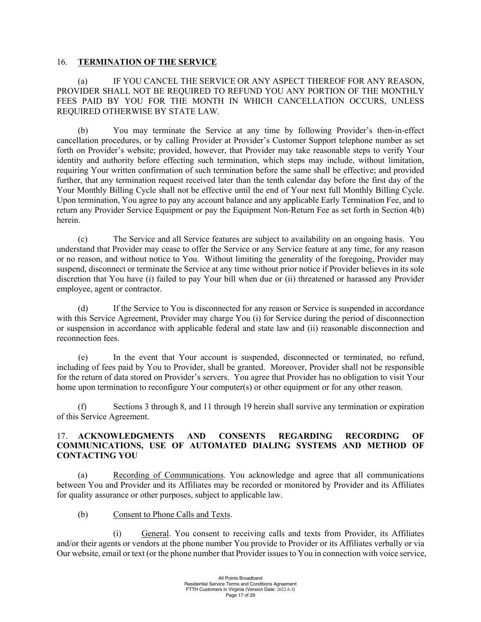#### 16. **TERMINATION OF THE SERVICE**

(a) IF YOU CANCEL THE SERVICE OR ANY ASPECT THEREOF FOR ANY REASON, PROVIDER SHALL NOT BE REQUIRED TO REFUND YOU ANY PORTION OF THE MONTHLY FEES PAID BY YOU FOR THE MONTH IN WHICH CANCELLATION OCCURS, UNLESS REQUIRED OTHERWISE BY STATE LAW.

You may terminate the Service at any time by following Provider's then-in-effect cancellation procedures, or by calling Provider at Provider's Customer Support telephone number as set forth on Provider's website; provided, however, that Provider may take reasonable steps to verify Your identity and authority before effecting such termination, which steps may include, without limitation, requiring Your written confirmation of such termination before the same shall be effective; and provided further, that any termination request received later than the tenth calendar day before the first day of the Your Monthly Billing Cycle shall not be effective until the end of Your next full Monthly Billing Cycle. Upon termination, You agree to pay any account balance and any applicable Early Termination Fee, and to return any Provider Service Equipment or pay the Equipment Non-Return Fee as set forth in Section 4(b) herein.

(c) The Service and all Service features are subject to availability on an ongoing basis. You understand that Provider may cease to offer the Service or any Service feature at any time, for any reason or no reason, and without notice to You. Without limiting the generality of the foregoing, Provider may suspend, disconnect or terminate the Service at any time without prior notice if Provider believes in its sole discretion that You have (i) failed to pay Your bill when due or (ii) threatened or harassed any Provider employee, agent or contractor.

(d) If the Service to You is disconnected for any reason or Service is suspended in accordance with this Service Agreement, Provider may charge You (i) for Service during the period of disconnection or suspension in accordance with applicable federal and state law and (ii) reasonable disconnection and reconnection fees.

(e) In the event that Your account is suspended, disconnected or terminated, no refund, including of fees paid by You to Provider, shall be granted. Moreover, Provider shall not be responsible for the return of data stored on Provider's servers. You agree that Provider has no obligation to visit Your home upon termination to reconfigure Your computer(s) or other equipment or for any other reason.

(f) Sections 3 through 8, and 11 through 19 herein shall survive any termination or expiration of this Service Agreement.

## 17. **ACKNOWLEDGMENTS AND CONSENTS REGARDING RECORDING OF COMMUNICATIONS, USE OF AUTOMATED DIALING SYSTEMS AND METHOD OF CONTACTING YOU**

(a) Recording of Communications. You acknowledge and agree that all communications between You and Provider and its Affiliates may be recorded or monitored by Provider and its Affiliates for quality assurance or other purposes, subject to applicable law.

(b) Consent to Phone Calls and Texts.

(i) General. You consent to receiving calls and texts from Provider, its Affiliates and/or their agents or vendors at the phone number You provide to Provider or its Affiliates verbally or via Our website, email or text (or the phone number that Provider issues to You in connection with voice service,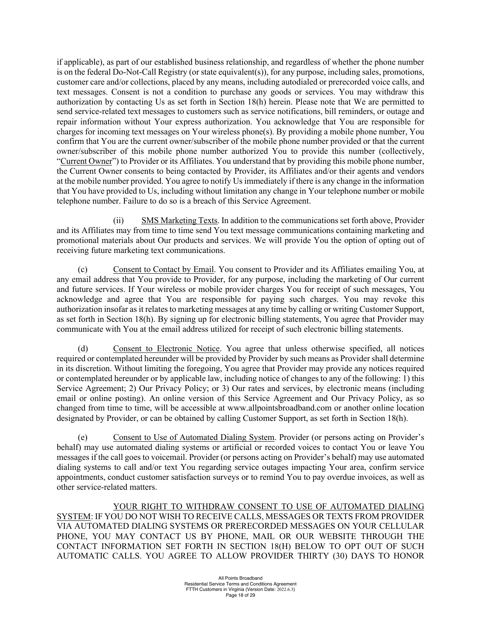if applicable), as part of our established business relationship, and regardless of whether the phone number is on the federal Do-Not-Call Registry (or state equivalent(s)), for any purpose, including sales, promotions, customer care and/or collections, placed by any means, including autodialed or prerecorded voice calls, and text messages. Consent is not a condition to purchase any goods or services. You may withdraw this authorization by contacting Us as set forth in Section 18(h) herein. Please note that We are permitted to send service-related text messages to customers such as service notifications, bill reminders, or outage and repair information without Your express authorization. You acknowledge that You are responsible for charges for incoming text messages on Your wireless phone(s). By providing a mobile phone number, You confirm that You are the current owner/subscriber of the mobile phone number provided or that the current owner/subscriber of this mobile phone number authorized You to provide this number (collectively, "Current Owner") to Provider or its Affiliates. You understand that by providing this mobile phone number, the Current Owner consents to being contacted by Provider, its Affiliates and/or their agents and vendors at the mobile number provided. You agree to notify Us immediately if there is any change in the information that You have provided to Us, including without limitation any change in Your telephone number or mobile telephone number. Failure to do so is a breach of this Service Agreement.

(ii) SMS Marketing Texts. In addition to the communications set forth above, Provider and its Affiliates may from time to time send You text message communications containing marketing and promotional materials about Our products and services. We will provide You the option of opting out of receiving future marketing text communications.

(c) Consent to Contact by Email. You consent to Provider and its Affiliates emailing You, at any email address that You provide to Provider, for any purpose, including the marketing of Our current and future services. If Your wireless or mobile provider charges You for receipt of such messages, You acknowledge and agree that You are responsible for paying such charges. You may revoke this authorization insofar as it relates to marketing messages at any time by calling or writing Customer Support, as set forth in Section 18(h). By signing up for electronic billing statements, You agree that Provider may communicate with You at the email address utilized for receipt of such electronic billing statements.

(d) Consent to Electronic Notice. You agree that unless otherwise specified, all notices required or contemplated hereunder will be provided by Provider by such means as Provider shall determine in its discretion. Without limiting the foregoing, You agree that Provider may provide any notices required or contemplated hereunder or by applicable law, including notice of changes to any of the following: 1) this Service Agreement; 2) Our Privacy Policy; or 3) Our rates and services, by electronic means (including email or online posting). An online version of this Service Agreement and Our Privacy Policy, as so changed from time to time, will be accessible at www.allpointsbroadband.com or another online location designated by Provider, or can be obtained by calling Customer Support, as set forth in Section 18(h).

(e) Consent to Use of Automated Dialing System. Provider (or persons acting on Provider's behalf) may use automated dialing systems or artificial or recorded voices to contact You or leave You messages if the call goes to voicemail. Provider (or persons acting on Provider's behalf) may use automated dialing systems to call and/or text You regarding service outages impacting Your area, confirm service appointments, conduct customer satisfaction surveys or to remind You to pay overdue invoices, as well as other service-related matters.

YOUR RIGHT TO WITHDRAW CONSENT TO USE OF AUTOMATED DIALING SYSTEM: IF YOU DO NOT WISH TO RECEIVE CALLS, MESSAGES OR TEXTS FROM PROVIDER VIA AUTOMATED DIALING SYSTEMS OR PRERECORDED MESSAGES ON YOUR CELLULAR PHONE, YOU MAY CONTACT US BY PHONE, MAIL OR OUR WEBSITE THROUGH THE CONTACT INFORMATION SET FORTH IN SECTION 18(H) BELOW TO OPT OUT OF SUCH AUTOMATIC CALLS. YOU AGREE TO ALLOW PROVIDER THIRTY (30) DAYS TO HONOR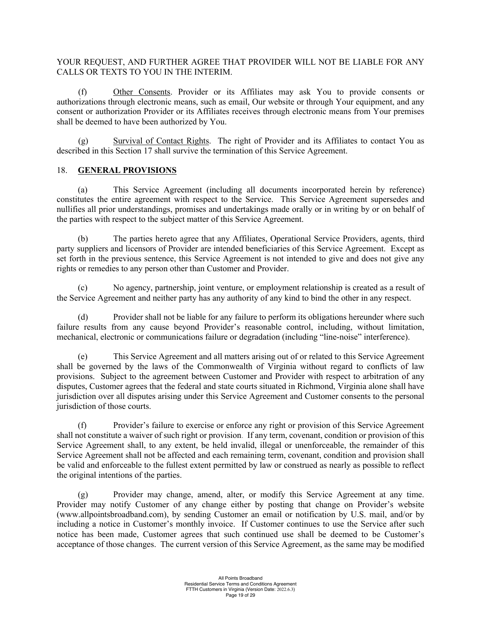## YOUR REOUEST, AND FURTHER AGREE THAT PROVIDER WILL NOT BE LIABLE FOR ANY CALLS OR TEXTS TO YOU IN THE INTERIM.

(f) Other Consents. Provider or its Affiliates may ask You to provide consents or authorizations through electronic means, such as email, Our website or through Your equipment, and any consent or authorization Provider or its Affiliates receives through electronic means from Your premises shall be deemed to have been authorized by You.

(g) Survival of Contact Rights. The right of Provider and its Affiliates to contact You as described in this Section 17 shall survive the termination of this Service Agreement.

## 18. **GENERAL PROVISIONS**

(a) This Service Agreement (including all documents incorporated herein by reference) constitutes the entire agreement with respect to the Service. This Service Agreement supersedes and nullifies all prior understandings, promises and undertakings made orally or in writing by or on behalf of the parties with respect to the subject matter of this Service Agreement.

(b) The parties hereto agree that any Affiliates, Operational Service Providers, agents, third party suppliers and licensors of Provider are intended beneficiaries of this Service Agreement. Except as set forth in the previous sentence, this Service Agreement is not intended to give and does not give any rights or remedies to any person other than Customer and Provider.

(c) No agency, partnership, joint venture, or employment relationship is created as a result of the Service Agreement and neither party has any authority of any kind to bind the other in any respect.

(d) Provider shall not be liable for any failure to perform its obligations hereunder where such failure results from any cause beyond Provider's reasonable control, including, without limitation, mechanical, electronic or communications failure or degradation (including "line-noise" interference).

(e) This Service Agreement and all matters arising out of or related to this Service Agreement shall be governed by the laws of the Commonwealth of Virginia without regard to conflicts of law provisions. Subject to the agreement between Customer and Provider with respect to arbitration of any disputes, Customer agrees that the federal and state courts situated in Richmond, Virginia alone shall have jurisdiction over all disputes arising under this Service Agreement and Customer consents to the personal jurisdiction of those courts.

(f) Provider's failure to exercise or enforce any right or provision of this Service Agreement shall not constitute a waiver of such right or provision. If any term, covenant, condition or provision of this Service Agreement shall, to any extent, be held invalid, illegal or unenforceable, the remainder of this Service Agreement shall not be affected and each remaining term, covenant, condition and provision shall be valid and enforceable to the fullest extent permitted by law or construed as nearly as possible to reflect the original intentions of the parties.

(g) Provider may change, amend, alter, or modify this Service Agreement at any time. Provider may notify Customer of any change either by posting that change on Provider's website (www.allpointsbroadband.com), by sending Customer an email or notification by U.S. mail, and/or by including a notice in Customer's monthly invoice. If Customer continues to use the Service after such notice has been made, Customer agrees that such continued use shall be deemed to be Customer's acceptance of those changes. The current version of this Service Agreement, as the same may be modified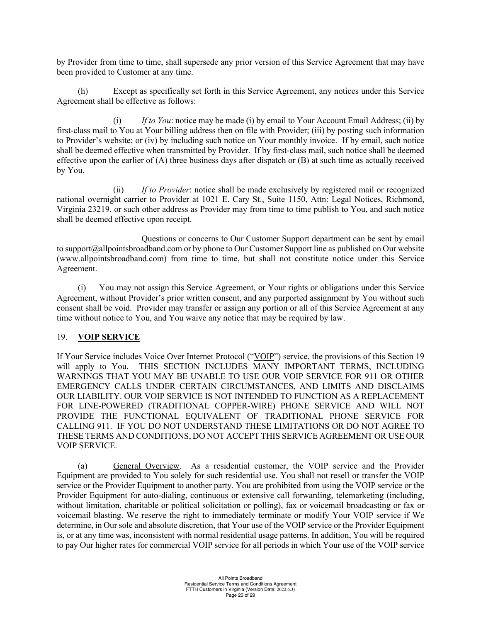by Provider from time to time, shall supersede any prior version of this Service Agreement that may have been provided to Customer at any time.

(h) Except as specifically set forth in this Service Agreement, any notices under this Service Agreement shall be effective as follows:

(i) *If to You*: notice may be made (i) by email to Your Account Email Address; (ii) by first-class mail to You at Your billing address then on file with Provider; (iii) by posting such information to Provider's website; or (iv) by including such notice on Your monthly invoice. If by email, such notice shall be deemed effective when transmitted by Provider. If by first-class mail, such notice shall be deemed effective upon the earlier of  $(A)$  three business days after dispatch or  $(B)$  at such time as actually received by You.

(ii) *If to Provider*: notice shall be made exclusively by registered mail or recognized national overnight carrier to Provider at 1021 E. Cary St., Suite 1150, Attn: Legal Notices, Richmond, Virginia 23219, or such other address as Provider may from time to time publish to You, and such notice shall be deemed effective upon receipt.

Questions or concerns to Our Customer Support department can be sent by email to support@allpointsbroadband.com or by phone to Our Customer Support line as published on Our website (www.allpointsbroadband.com) from time to time, but shall not constitute notice under this Service Agreement.

(i) You may not assign this Service Agreement, or Your rights or obligations under this Service Agreement, without Provider's prior written consent, and any purported assignment by You without such consent shall be void. Provider may transfer or assign any portion or all of this Service Agreement at any time without notice to You, and You waive any notice that may be required by law.

# 19. **VOIP SERVICE**

If Your Service includes Voice Over Internet Protocol ("VOIP") service, the provisions of this Section 19 will apply to You. THIS SECTION INCLUDES MANY IMPORTANT TERMS, INCLUDING WARNINGS THAT YOU MAY BE UNABLE TO USE OUR VOIP SERVICE FOR 911 OR OTHER EMERGENCY CALLS UNDER CERTAIN CIRCUMSTANCES, AND LIMITS AND DISCLAIMS OUR LIABILITY. OUR VOIP SERVICE IS NOT INTENDED TO FUNCTION AS A REPLACEMENT FOR LINE-POWERED (TRADITIONAL COPPER-WIRE) PHONE SERVICE AND WILL NOT PROVIDE THE FUNCTIONAL EQUIVALENT OF TRADITIONAL PHONE SERVICE FOR CALLING 911. IF YOU DO NOT UNDERSTAND THESE LIMITATIONS OR DO NOT AGREE TO THESE TERMS AND CONDITIONS, DO NOT ACCEPT THIS SERVICE AGREEMENT OR USE OUR VOIP SERVICE.

(a) General Overview. As a residential customer, the VOIP service and the Provider Equipment are provided to You solely for such residential use. You shall not resell or transfer the VOIP service or the Provider Equipment to another party. You are prohibited from using the VOIP service or the Provider Equipment for auto-dialing, continuous or extensive call forwarding, telemarketing (including, without limitation, charitable or political solicitation or polling), fax or voicemail broadcasting or fax or voicemail blasting. We reserve the right to immediately terminate or modify Your VOIP service if We determine, in Our sole and absolute discretion, that Your use of the VOIP service or the Provider Equipment is, or at any time was, inconsistent with normal residential usage patterns. In addition, You will be required to pay Our higher rates for commercial VOIP service for all periods in which Your use of the VOIP service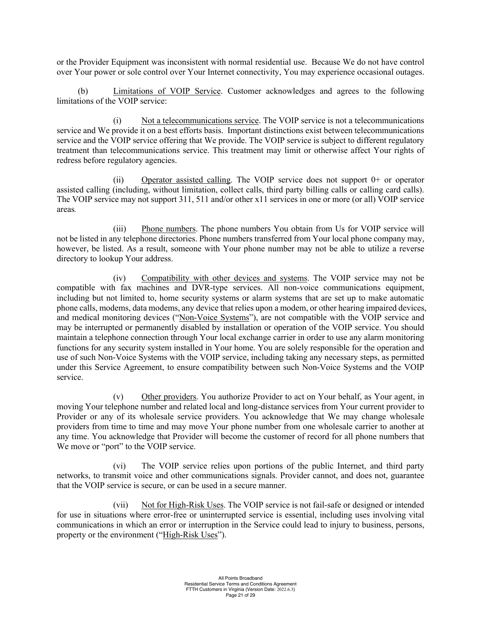or the Provider Equipment was inconsistent with normal residential use. Because We do not have control over Your power or sole control over Your Internet connectivity, You may experience occasional outages.

(b) Limitations of VOIP Service. Customer acknowledges and agrees to the following limitations of the VOIP service:

(i) Not a telecommunications service. The VOIP service is not a telecommunications service and We provide it on a best efforts basis. Important distinctions exist between telecommunications service and the VOIP service offering that We provide. The VOIP service is subject to different regulatory treatment than telecommunications service. This treatment may limit or otherwise affect Your rights of redress before regulatory agencies.

(ii) Operator assisted calling. The VOIP service does not support 0+ or operator assisted calling (including, without limitation, collect calls, third party billing calls or calling card calls). The VOIP service may not support 311, 511 and/or other x11 services in one or more (or all) VOIP service areas*.*

(iii) Phone numbers. The phone numbers You obtain from Us for VOIP service will not be listed in any telephone directories. Phone numbers transferred from Your local phone company may, however, be listed. As a result, someone with Your phone number may not be able to utilize a reverse directory to lookup Your address.

(iv) Compatibility with other devices and systems. The VOIP service may not be compatible with fax machines and DVR-type services. All non-voice communications equipment, including but not limited to, home security systems or alarm systems that are set up to make automatic phone calls, modems, data modems, any device that relies upon a modem, or other hearing impaired devices, and medical monitoring devices ("Non-Voice Systems"), are not compatible with the VOIP service and may be interrupted or permanently disabled by installation or operation of the VOIP service. You should maintain a telephone connection through Your local exchange carrier in order to use any alarm monitoring functions for any security system installed in Your home. You are solely responsible for the operation and use of such Non-Voice Systems with the VOIP service, including taking any necessary steps, as permitted under this Service Agreement, to ensure compatibility between such Non-Voice Systems and the VOIP service.

(v) Other providers. You authorize Provider to act on Your behalf, as Your agent, in moving Your telephone number and related local and long-distance services from Your current provider to Provider or any of its wholesale service providers. You acknowledge that We may change wholesale providers from time to time and may move Your phone number from one wholesale carrier to another at any time. You acknowledge that Provider will become the customer of record for all phone numbers that We move or "port" to the VOIP service.

(vi) The VOIP service relies upon portions of the public Internet, and third party networks, to transmit voice and other communications signals. Provider cannot, and does not, guarantee that the VOIP service is secure, or can be used in a secure manner.

(vii) Not for High-Risk Uses. The VOIP service is not fail-safe or designed or intended for use in situations where error-free or uninterrupted service is essential, including uses involving vital communications in which an error or interruption in the Service could lead to injury to business, persons, property or the environment ("High-Risk Uses").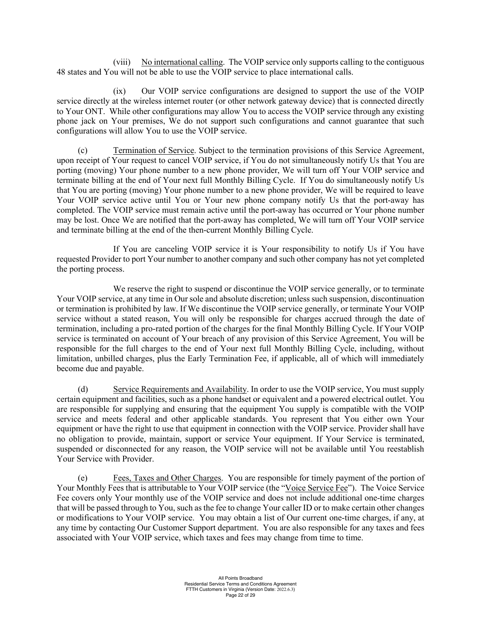(viii) No international calling. The VOIP service only supports calling to the contiguous 48 states and You will not be able to use the VOIP service to place international calls.

(ix) Our VOIP service configurations are designed to support the use of the VOIP service directly at the wireless internet router (or other network gateway device) that is connected directly to Your ONT. While other configurations may allow You to access the VOIP service through any existing phone jack on Your premises, We do not support such configurations and cannot guarantee that such configurations will allow You to use the VOIP service.

(c) Termination of Service. Subject to the termination provisions of this Service Agreement, upon receipt of Your request to cancel VOIP service, if You do not simultaneously notify Us that You are porting (moving) Your phone number to a new phone provider, We will turn off Your VOIP service and terminate billing at the end of Your next full Monthly Billing Cycle. If You do simultaneously notify Us that You are porting (moving) Your phone number to a new phone provider, We will be required to leave Your VOIP service active until You or Your new phone company notify Us that the port-away has completed. The VOIP service must remain active until the port-away has occurred or Your phone number may be lost. Once We are notified that the port-away has completed, We will turn off Your VOIP service and terminate billing at the end of the then-current Monthly Billing Cycle.

If You are canceling VOIP service it is Your responsibility to notify Us if You have requested Provider to port Your number to another company and such other company has not yet completed the porting process.

We reserve the right to suspend or discontinue the VOIP service generally, or to terminate Your VOIP service, at any time in Our sole and absolute discretion; unless such suspension, discontinuation or termination is prohibited by law. If We discontinue the VOIP service generally, or terminate Your VOIP service without a stated reason, You will only be responsible for charges accrued through the date of termination, including a pro-rated portion of the charges for the final Monthly Billing Cycle. If Your VOIP service is terminated on account of Your breach of any provision of this Service Agreement, You will be responsible for the full charges to the end of Your next full Monthly Billing Cycle, including, without limitation, unbilled charges, plus the Early Termination Fee, if applicable, all of which will immediately become due and payable.

(d) Service Requirements and Availability. In order to use the VOIP service, You must supply certain equipment and facilities, such as a phone handset or equivalent and a powered electrical outlet. You are responsible for supplying and ensuring that the equipment You supply is compatible with the VOIP service and meets federal and other applicable standards. You represent that You either own Your equipment or have the right to use that equipment in connection with the VOIP service. Provider shall have no obligation to provide, maintain, support or service Your equipment. If Your Service is terminated, suspended or disconnected for any reason, the VOIP service will not be available until You reestablish Your Service with Provider.

(e) Fees, Taxes and Other Charges. You are responsible for timely payment of the portion of Your Monthly Fees that is attributable to Your VOIP service (the "Voice Service Fee"). The Voice Service Fee covers only Your monthly use of the VOIP service and does not include additional one-time charges that will be passed through to You, such as the fee to change Your caller ID or to make certain other changes or modifications to Your VOIP service. You may obtain a list of Our current one-time charges, if any, at any time by contacting Our Customer Support department. You are also responsible for any taxes and fees associated with Your VOIP service, which taxes and fees may change from time to time.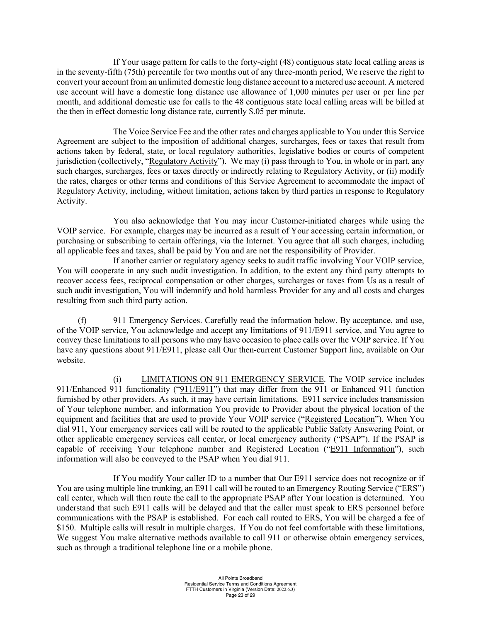If Your usage pattern for calls to the forty-eight (48) contiguous state local calling areas is in the seventy-fifth (75th) percentile for two months out of any three-month period, We reserve the right to convert your account from an unlimited domestic long distance account to a metered use account. A metered use account will have a domestic long distance use allowance of 1,000 minutes per user or per line per month, and additional domestic use for calls to the 48 contiguous state local calling areas will be billed at the then in effect domestic long distance rate, currently \$.05 per minute.

The Voice Service Fee and the other rates and charges applicable to You under this Service Agreement are subject to the imposition of additional charges, surcharges, fees or taxes that result from actions taken by federal, state, or local regulatory authorities, legislative bodies or courts of competent jurisdiction (collectively, "Regulatory Activity"). We may (i) pass through to You, in whole or in part, any such charges, surcharges, fees or taxes directly or indirectly relating to Regulatory Activity, or (ii) modify the rates, charges or other terms and conditions of this Service Agreement to accommodate the impact of Regulatory Activity, including, without limitation, actions taken by third parties in response to Regulatory Activity.

You also acknowledge that You may incur Customer-initiated charges while using the VOIP service. For example, charges may be incurred as a result of Your accessing certain information, or purchasing or subscribing to certain offerings, via the Internet. You agree that all such charges, including all applicable fees and taxes, shall be paid by You and are not the responsibility of Provider.

If another carrier or regulatory agency seeks to audit traffic involving Your VOIP service, You will cooperate in any such audit investigation. In addition, to the extent any third party attempts to recover access fees, reciprocal compensation or other charges, surcharges or taxes from Us as a result of such audit investigation, You will indemnify and hold harmless Provider for any and all costs and charges resulting from such third party action.

(f) 911 Emergency Services. Carefully read the information below. By acceptance, and use, of the VOIP service, You acknowledge and accept any limitations of 911/E911 service, and You agree to convey these limitations to all persons who may have occasion to place calls over the VOIP service. If You have any questions about 911/E911, please call Our then-current Customer Support line, available on Our website.

(i) LIMITATIONS ON 911 EMERGENCY SERVICE. The VOIP service includes 911/Enhanced 911 functionality ("911/E911") that may differ from the 911 or Enhanced 911 function furnished by other providers. As such, it may have certain limitations. E911 service includes transmission of Your telephone number, and information You provide to Provider about the physical location of the equipment and facilities that are used to provide Your VOIP service ("Registered Location"). When You dial 911, Your emergency services call will be routed to the applicable Public Safety Answering Point, or other applicable emergency services call center, or local emergency authority ("PSAP"). If the PSAP is capable of receiving Your telephone number and Registered Location ("E911 Information"), such information will also be conveyed to the PSAP when You dial 911.

If You modify Your caller ID to a number that Our E911 service does not recognize or if You are using multiple line trunking, an E911 call will be routed to an Emergency Routing Service ("ERS") call center, which will then route the call to the appropriate PSAP after Your location is determined. You understand that such E911 calls will be delayed and that the caller must speak to ERS personnel before communications with the PSAP is established. For each call routed to ERS, You will be charged a fee of \$150. Multiple calls will result in multiple charges. If You do not feel comfortable with these limitations, We suggest You make alternative methods available to call 911 or otherwise obtain emergency services, such as through a traditional telephone line or a mobile phone.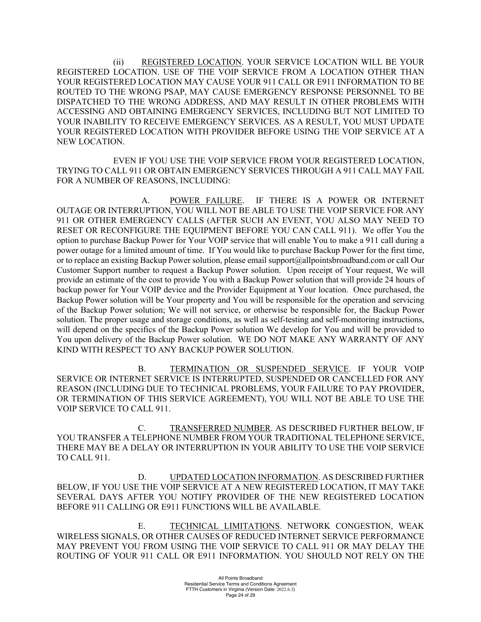(ii) REGISTERED LOCATION. YOUR SERVICE LOCATION WILL BE YOUR REGISTERED LOCATION. USE OF THE VOIP SERVICE FROM A LOCATION OTHER THAN YOUR REGISTERED LOCATION MAY CAUSE YOUR 911 CALL OR E911 INFORMATION TO BE ROUTED TO THE WRONG PSAP, MAY CAUSE EMERGENCY RESPONSE PERSONNEL TO BE DISPATCHED TO THE WRONG ADDRESS, AND MAY RESULT IN OTHER PROBLEMS WITH ACCESSING AND OBTAINING EMERGENCY SERVICES, INCLUDING BUT NOT LIMITED TO YOUR INABILITY TO RECEIVE EMERGENCY SERVICES. AS A RESULT, YOU MUST UPDATE YOUR REGISTERED LOCATION WITH PROVIDER BEFORE USING THE VOIP SERVICE AT A NEW LOCATION.

EVEN IF YOU USE THE VOIP SERVICE FROM YOUR REGISTERED LOCATION, TRYING TO CALL 911 OR OBTAIN EMERGENCY SERVICES THROUGH A 911 CALL MAY FAIL FOR A NUMBER OF REASONS, INCLUDING:

A. POWER FAILURE. IF THERE IS A POWER OR INTERNET OUTAGE OR INTERRUPTION, YOU WILL NOT BE ABLE TO USE THE VOIP SERVICE FOR ANY 911 OR OTHER EMERGENCY CALLS (AFTER SUCH AN EVENT, YOU ALSO MAY NEED TO RESET OR RECONFIGURE THE EQUIPMENT BEFORE YOU CAN CALL 911). We offer You the option to purchase Backup Power for Your VOIP service that will enable You to make a 911 call during a power outage for a limited amount of time. If You would like to purchase Backup Power for the first time, or to replace an existing Backup Power solution, please email support@allpointsbroadband.com or call Our Customer Support number to request a Backup Power solution. Upon receipt of Your request, We will provide an estimate of the cost to provide You with a Backup Power solution that will provide 24 hours of backup power for Your VOIP device and the Provider Equipment at Your location. Once purchased, the Backup Power solution will be Your property and You will be responsible for the operation and servicing of the Backup Power solution; We will not service, or otherwise be responsible for, the Backup Power solution. The proper usage and storage conditions, as well as self-testing and self-monitoring instructions, will depend on the specifics of the Backup Power solution We develop for You and will be provided to You upon delivery of the Backup Power solution. WE DO NOT MAKE ANY WARRANTY OF ANY KIND WITH RESPECT TO ANY BACKUP POWER SOLUTION.

B. TERMINATION OR SUSPENDED SERVICE. IF YOUR VOIP SERVICE OR INTERNET SERVICE IS INTERRUPTED, SUSPENDED OR CANCELLED FOR ANY REASON (INCLUDING DUE TO TECHNICAL PROBLEMS, YOUR FAILURE TO PAY PROVIDER, OR TERMINATION OF THIS SERVICE AGREEMENT), YOU WILL NOT BE ABLE TO USE THE VOIP SERVICE TO CALL 911.

C. TRANSFERRED NUMBER. AS DESCRIBED FURTHER BELOW, IF YOU TRANSFER A TELEPHONE NUMBER FROM YOUR TRADITIONAL TELEPHONE SERVICE, THERE MAY BE A DELAY OR INTERRUPTION IN YOUR ABILITY TO USE THE VOIP SERVICE TO CALL 911.

D. UPDATED LOCATION INFORMATION. AS DESCRIBED FURTHER BELOW, IF YOU USE THE VOIP SERVICE AT A NEW REGISTERED LOCATION, IT MAY TAKE SEVERAL DAYS AFTER YOU NOTIFY PROVIDER OF THE NEW REGISTERED LOCATION BEFORE 911 CALLING OR E911 FUNCTIONS WILL BE AVAILABLE.

E. TECHNICAL LIMITATIONS. NETWORK CONGESTION, WEAK WIRELESS SIGNALS, OR OTHER CAUSES OF REDUCED INTERNET SERVICE PERFORMANCE MAY PREVENT YOU FROM USING THE VOIP SERVICE TO CALL 911 OR MAY DELAY THE ROUTING OF YOUR 911 CALL OR E911 INFORMATION. YOU SHOULD NOT RELY ON THE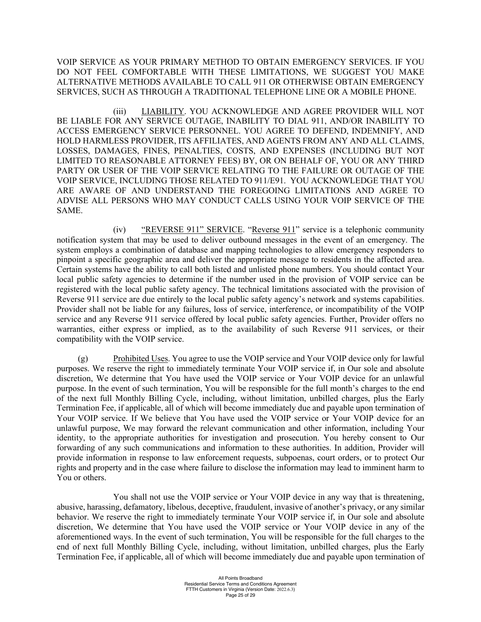VOIP SERVICE AS YOUR PRIMARY METHOD TO OBTAIN EMERGENCY SERVICES. IF YOU DO NOT FEEL COMFORTABLE WITH THESE LIMITATIONS, WE SUGGEST YOU MAKE ALTERNATIVE METHODS AVAILABLE TO CALL 911 OR OTHERWISE OBTAIN EMERGENCY SERVICES, SUCH AS THROUGH A TRADITIONAL TELEPHONE LINE OR A MOBILE PHONE.

(iii) LIABILITY. YOU ACKNOWLEDGE AND AGREE PROVIDER WILL NOT BE LIABLE FOR ANY SERVICE OUTAGE, INABILITY TO DIAL 911, AND/OR INABILITY TO ACCESS EMERGENCY SERVICE PERSONNEL. YOU AGREE TO DEFEND, INDEMNIFY, AND HOLD HARMLESS PROVIDER, ITS AFFILIATES, AND AGENTS FROM ANY AND ALL CLAIMS, LOSSES, DAMAGES, FINES, PENALTIES, COSTS, AND EXPENSES (INCLUDING BUT NOT LIMITED TO REASONABLE ATTORNEY FEES) BY, OR ON BEHALF OF, YOU OR ANY THIRD PARTY OR USER OF THE VOIP SERVICE RELATING TO THE FAILURE OR OUTAGE OF THE VOIP SERVICE, INCLUDING THOSE RELATED TO 911/E91. YOU ACKNOWLEDGE THAT YOU ARE AWARE OF AND UNDERSTAND THE FOREGOING LIMITATIONS AND AGREE TO ADVISE ALL PERSONS WHO MAY CONDUCT CALLS USING YOUR VOIP SERVICE OF THE SAME.

(iv) "REVERSE 911" SERVICE. "Reverse 911" service is a telephonic community notification system that may be used to deliver outbound messages in the event of an emergency. The system employs a combination of database and mapping technologies to allow emergency responders to pinpoint a specific geographic area and deliver the appropriate message to residents in the affected area. Certain systems have the ability to call both listed and unlisted phone numbers. You should contact Your local public safety agencies to determine if the number used in the provision of VOIP service can be registered with the local public safety agency. The technical limitations associated with the provision of Reverse 911 service are due entirely to the local public safety agency's network and systems capabilities. Provider shall not be liable for any failures, loss of service, interference, or incompatibility of the VOIP service and any Reverse 911 service offered by local public safety agencies. Further, Provider offers no warranties, either express or implied, as to the availability of such Reverse 911 services, or their compatibility with the VOIP service.

(g) Prohibited Uses. You agree to use the VOIP service and Your VOIP device only for lawful purposes. We reserve the right to immediately terminate Your VOIP service if, in Our sole and absolute discretion, We determine that You have used the VOIP service or Your VOIP device for an unlawful purpose. In the event of such termination, You will be responsible for the full month's charges to the end of the next full Monthly Billing Cycle, including, without limitation, unbilled charges, plus the Early Termination Fee, if applicable, all of which will become immediately due and payable upon termination of Your VOIP service. If We believe that You have used the VOIP service or Your VOIP device for an unlawful purpose, We may forward the relevant communication and other information, including Your identity, to the appropriate authorities for investigation and prosecution. You hereby consent to Our forwarding of any such communications and information to these authorities. In addition, Provider will provide information in response to law enforcement requests, subpoenas, court orders, or to protect Our rights and property and in the case where failure to disclose the information may lead to imminent harm to You or others.

You shall not use the VOIP service or Your VOIP device in any way that is threatening, abusive, harassing, defamatory, libelous, deceptive, fraudulent, invasive of another's privacy, or any similar behavior. We reserve the right to immediately terminate Your VOIP service if, in Our sole and absolute discretion, We determine that You have used the VOIP service or Your VOIP device in any of the aforementioned ways. In the event of such termination, You will be responsible for the full charges to the end of next full Monthly Billing Cycle, including, without limitation, unbilled charges, plus the Early Termination Fee, if applicable, all of which will become immediately due and payable upon termination of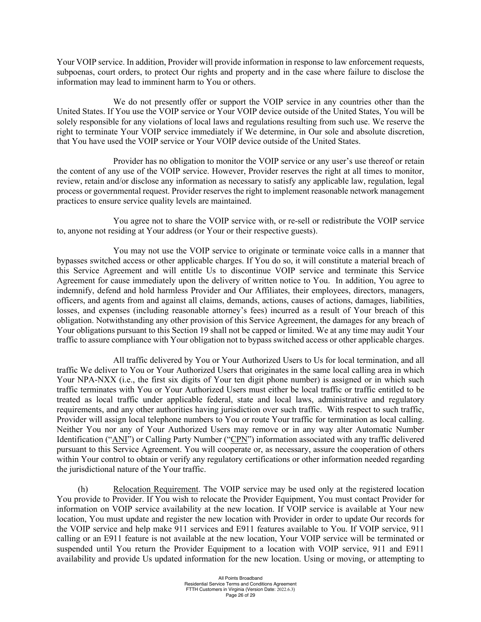Your VOIP service. In addition, Provider will provide information in response to law enforcement requests, subpoenas, court orders, to protect Our rights and property and in the case where failure to disclose the information may lead to imminent harm to You or others.

We do not presently offer or support the VOIP service in any countries other than the United States. If You use the VOIP service or Your VOIP device outside of the United States, You will be solely responsible for any violations of local laws and regulations resulting from such use. We reserve the right to terminate Your VOIP service immediately if We determine, in Our sole and absolute discretion, that You have used the VOIP service or Your VOIP device outside of the United States.

Provider has no obligation to monitor the VOIP service or any user's use thereof or retain the content of any use of the VOIP service. However, Provider reserves the right at all times to monitor, review, retain and/or disclose any information as necessary to satisfy any applicable law, regulation, legal process or governmental request. Provider reserves the right to implement reasonable network management practices to ensure service quality levels are maintained.

You agree not to share the VOIP service with, or re-sell or redistribute the VOIP service to, anyone not residing at Your address (or Your or their respective guests).

You may not use the VOIP service to originate or terminate voice calls in a manner that bypasses switched access or other applicable charges. If You do so, it will constitute a material breach of this Service Agreement and will entitle Us to discontinue VOIP service and terminate this Service Agreement for cause immediately upon the delivery of written notice to You. In addition, You agree to indemnify, defend and hold harmless Provider and Our Affiliates, their employees, directors, managers, officers, and agents from and against all claims, demands, actions, causes of actions, damages, liabilities, losses, and expenses (including reasonable attorney's fees) incurred as a result of Your breach of this obligation. Notwithstanding any other provision of this Service Agreement, the damages for any breach of Your obligations pursuant to this Section 19 shall not be capped or limited. We at any time may audit Your traffic to assure compliance with Your obligation not to bypass switched access or other applicable charges.

All traffic delivered by You or Your Authorized Users to Us for local termination, and all traffic We deliver to You or Your Authorized Users that originates in the same local calling area in which Your NPA-NXX (i.e., the first six digits of Your ten digit phone number) is assigned or in which such traffic terminates with You or Your Authorized Users must either be local traffic or traffic entitled to be treated as local traffic under applicable federal, state and local laws, administrative and regulatory requirements, and any other authorities having jurisdiction over such traffic. With respect to such traffic, Provider will assign local telephone numbers to You or route Your traffic for termination as local calling. Neither You nor any of Your Authorized Users may remove or in any way alter Automatic Number Identification ("ANI") or Calling Party Number ("CPN") information associated with any traffic delivered pursuant to this Service Agreement. You will cooperate or, as necessary, assure the cooperation of others within Your control to obtain or verify any regulatory certifications or other information needed regarding the jurisdictional nature of the Your traffic.

(h) Relocation Requirement. The VOIP service may be used only at the registered location You provide to Provider. If You wish to relocate the Provider Equipment, You must contact Provider for information on VOIP service availability at the new location. If VOIP service is available at Your new location, You must update and register the new location with Provider in order to update Our records for the VOIP service and help make 911 services and E911 features available to You. If VOIP service, 911 calling or an E911 feature is not available at the new location, Your VOIP service will be terminated or suspended until You return the Provider Equipment to a location with VOIP service, 911 and E911 availability and provide Us updated information for the new location. Using or moving, or attempting to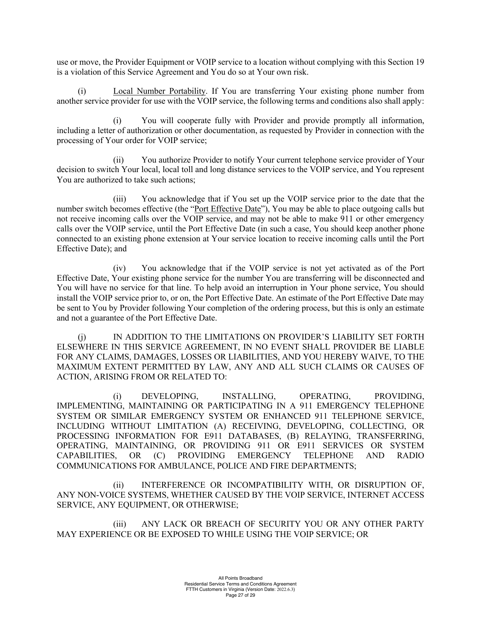use or move, the Provider Equipment or VOIP service to a location without complying with this Section 19 is a violation of this Service Agreement and You do so at Your own risk.

(i) Local Number Portability. If You are transferring Your existing phone number from another service provider for use with the VOIP service, the following terms and conditions also shall apply:

(i) You will cooperate fully with Provider and provide promptly all information, including a letter of authorization or other documentation, as requested by Provider in connection with the processing of Your order for VOIP service;

(ii) You authorize Provider to notify Your current telephone service provider of Your decision to switch Your local, local toll and long distance services to the VOIP service, and You represent You are authorized to take such actions;

(iii) You acknowledge that if You set up the VOIP service prior to the date that the number switch becomes effective (the "Port Effective Date"), You may be able to place outgoing calls but not receive incoming calls over the VOIP service, and may not be able to make 911 or other emergency calls over the VOIP service, until the Port Effective Date (in such a case, You should keep another phone connected to an existing phone extension at Your service location to receive incoming calls until the Port Effective Date); and

(iv) You acknowledge that if the VOIP service is not yet activated as of the Port Effective Date, Your existing phone service for the number You are transferring will be disconnected and You will have no service for that line. To help avoid an interruption in Your phone service, You should install the VOIP service prior to, or on, the Port Effective Date. An estimate of the Port Effective Date may be sent to You by Provider following Your completion of the ordering process, but this is only an estimate and not a guarantee of the Port Effective Date.

(j) IN ADDITION TO THE LIMITATIONS ON PROVIDER'S LIABILITY SET FORTH ELSEWHERE IN THIS SERVICE AGREEMENT, IN NO EVENT SHALL PROVIDER BE LIABLE FOR ANY CLAIMS, DAMAGES, LOSSES OR LIABILITIES, AND YOU HEREBY WAIVE, TO THE MAXIMUM EXTENT PERMITTED BY LAW, ANY AND ALL SUCH CLAIMS OR CAUSES OF ACTION, ARISING FROM OR RELATED TO:

(i) DEVELOPING, INSTALLING, OPERATING, PROVIDING, IMPLEMENTING, MAINTAINING OR PARTICIPATING IN A 911 EMERGENCY TELEPHONE SYSTEM OR SIMILAR EMERGENCY SYSTEM OR ENHANCED 911 TELEPHONE SERVICE, INCLUDING WITHOUT LIMITATION (A) RECEIVING, DEVELOPING, COLLECTING, OR PROCESSING INFORMATION FOR E911 DATABASES, (B) RELAYING, TRANSFERRING, OPERATING, MAINTAINING, OR PROVIDING 911 OR E911 SERVICES OR SYSTEM CAPABILITIES, OR (C) PROVIDING EMERGENCY TELEPHONE AND RADIO COMMUNICATIONS FOR AMBULANCE, POLICE AND FIRE DEPARTMENTS;

(ii) INTERFERENCE OR INCOMPATIBILITY WITH, OR DISRUPTION OF, ANY NON-VOICE SYSTEMS, WHETHER CAUSED BY THE VOIP SERVICE, INTERNET ACCESS SERVICE, ANY EQUIPMENT, OR OTHERWISE;

(iii) ANY LACK OR BREACH OF SECURITY YOU OR ANY OTHER PARTY MAY EXPERIENCE OR BE EXPOSED TO WHILE USING THE VOIP SERVICE; OR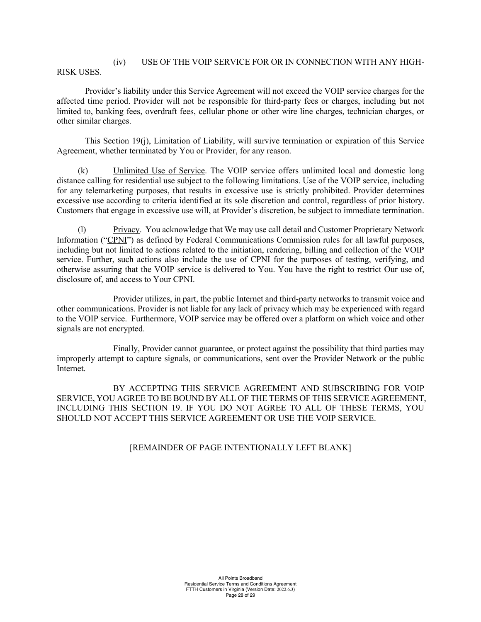#### (iv) USE OF THE VOIP SERVICE FOR OR IN CONNECTION WITH ANY HIGH-RISK USES.

Provider's liability under this Service Agreement will not exceed the VOIP service charges for the affected time period. Provider will not be responsible for third-party fees or charges, including but not limited to, banking fees, overdraft fees, cellular phone or other wire line charges, technician charges, or other similar charges.

This Section 19(j), Limitation of Liability, will survive termination or expiration of this Service Agreement, whether terminated by You or Provider, for any reason.

(k) Unlimited Use of Service. The VOIP service offers unlimited local and domestic long distance calling for residential use subject to the following limitations. Use of the VOIP service, including for any telemarketing purposes, that results in excessive use is strictly prohibited. Provider determines excessive use according to criteria identified at its sole discretion and control, regardless of prior history. Customers that engage in excessive use will, at Provider's discretion, be subject to immediate termination.

(l) Privacy. You acknowledge that We may use call detail and Customer Proprietary Network Information ("CPNI") as defined by Federal Communications Commission rules for all lawful purposes, including but not limited to actions related to the initiation, rendering, billing and collection of the VOIP service. Further, such actions also include the use of CPNI for the purposes of testing, verifying, and otherwise assuring that the VOIP service is delivered to You. You have the right to restrict Our use of, disclosure of, and access to Your CPNI.

Provider utilizes, in part, the public Internet and third-party networks to transmit voice and other communications. Provider is not liable for any lack of privacy which may be experienced with regard to the VOIP service. Furthermore, VOIP service may be offered over a platform on which voice and other signals are not encrypted.

Finally, Provider cannot guarantee, or protect against the possibility that third parties may improperly attempt to capture signals, or communications, sent over the Provider Network or the public Internet.

BY ACCEPTING THIS SERVICE AGREEMENT AND SUBSCRIBING FOR VOIP SERVICE, YOU AGREE TO BE BOUND BY ALL OF THE TERMS OF THIS SERVICE AGREEMENT, INCLUDING THIS SECTION 19. IF YOU DO NOT AGREE TO ALL OF THESE TERMS, YOU SHOULD NOT ACCEPT THIS SERVICE AGREEMENT OR USE THE VOIP SERVICE.

# [REMAINDER OF PAGE INTENTIONALLY LEFT BLANK]